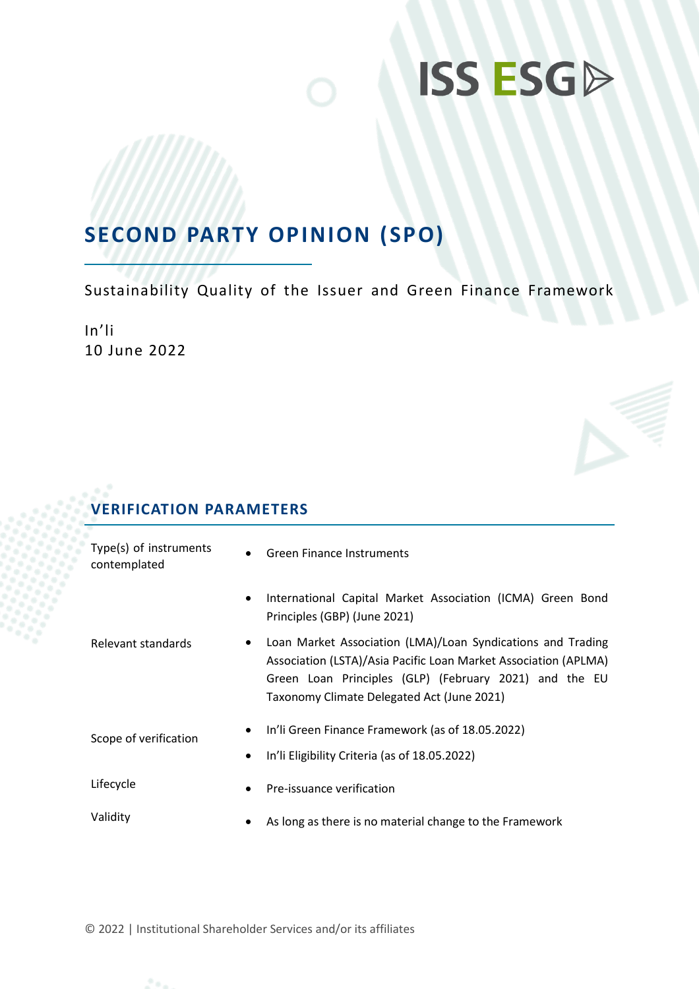## **SECOND PARTY OPINION (SPO)**

Sustainability Quality of the Issuer and Green Finance Framework

In'li 10 June 2022

### **VERIFICATION PARAMETERS**

| Type(s) of instruments<br>contemplated | $\bullet$ | <b>Green Finance Instruments</b>                                                                                                                                                                                                       |  |
|----------------------------------------|-----------|----------------------------------------------------------------------------------------------------------------------------------------------------------------------------------------------------------------------------------------|--|
|                                        | ٠         | International Capital Market Association (ICMA) Green Bond<br>Principles (GBP) (June 2021)                                                                                                                                             |  |
| Relevant standards<br>$\bullet$        |           | Loan Market Association (LMA)/Loan Syndications and Trading<br>Association (LSTA)/Asia Pacific Loan Market Association (APLMA)<br>Green Loan Principles (GLP) (February 2021) and the EU<br>Taxonomy Climate Delegated Act (June 2021) |  |
| Scope of verification                  | ٠<br>٠    | In'li Green Finance Framework (as of 18.05.2022)<br>In'li Eligibility Criteria (as of 18.05.2022)                                                                                                                                      |  |
| Lifecycle                              | $\bullet$ | Pre-issuance verification                                                                                                                                                                                                              |  |
| Validity                               | ٠         | As long as there is no material change to the Framework                                                                                                                                                                                |  |

© 2022 | Institutional Shareholder Services and/or its affiliates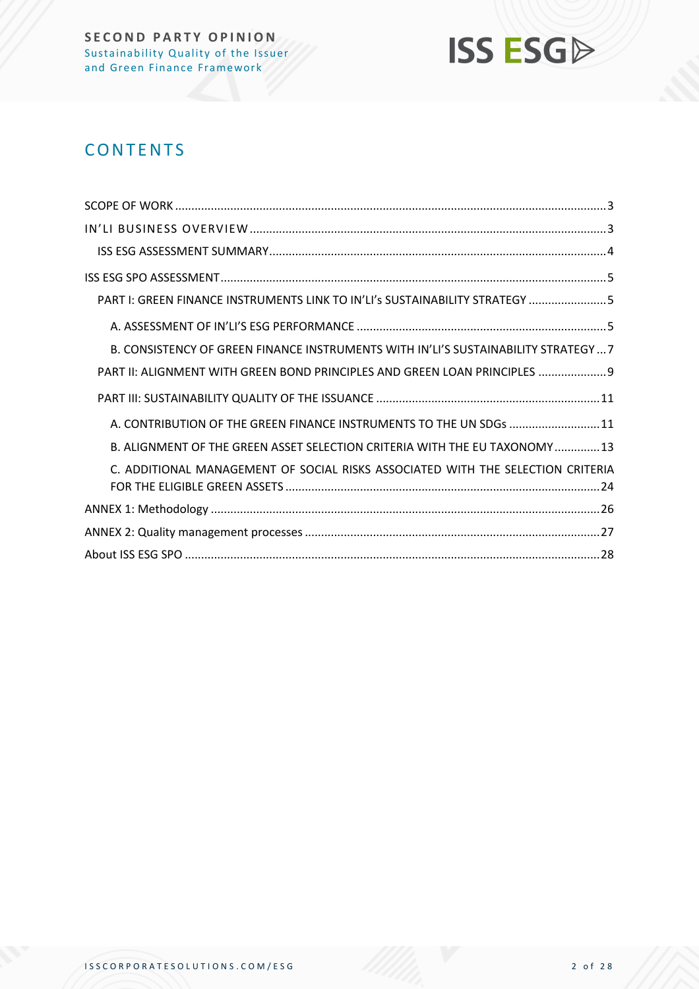

### **CONTENTS**

| PART I: GREEN FINANCE INSTRUMENTS LINK TO IN'LI's SUSTAINABILITY STRATEGY 5         |
|-------------------------------------------------------------------------------------|
|                                                                                     |
| B. CONSISTENCY OF GREEN FINANCE INSTRUMENTS WITH IN'LI'S SUSTAINABILITY STRATEGY  7 |
| PART II: ALIGNMENT WITH GREEN BOND PRINCIPLES AND GREEN LOAN PRINCIPLES  9          |
|                                                                                     |
| A. CONTRIBUTION OF THE GREEN FINANCE INSTRUMENTS TO THE UN SDGs  11                 |
| B. ALIGNMENT OF THE GREEN ASSET SELECTION CRITERIA WITH THE EU TAXONOMY 13          |
| C. ADDITIONAL MANAGEMENT OF SOCIAL RISKS ASSOCIATED WITH THE SELECTION CRITERIA     |
|                                                                                     |
|                                                                                     |
|                                                                                     |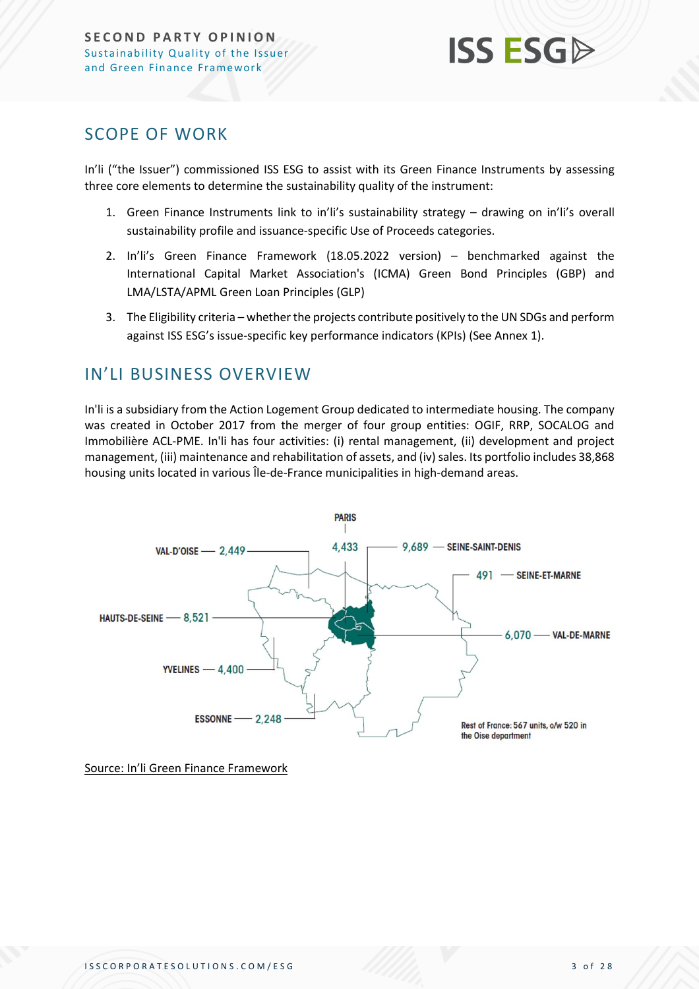

### <span id="page-2-0"></span>SCOPE OF WORK

In'li ("the Issuer") commissioned ISS ESG to assist with its Green Finance Instruments by assessing three core elements to determine the sustainability quality of the instrument:

- 1. Green Finance Instruments link to in'li's sustainability strategy drawing on in'li's overall sustainability profile and issuance-specific Use of Proceeds categories.
- 2. In'li's Green Finance Framework (18.05.2022 version) benchmarked against the International Capital Market Association's (ICMA) Green Bond Principles (GBP) and LMA/LSTA/APML Green Loan Principles (GLP)
- 3. The Eligibility criteria whether the projects contribute positively to the UN SDGs and perform against ISS ESG's issue-specific key performance indicators (KPIs) (See Annex 1).

### <span id="page-2-1"></span>IN'LI BUSINESS OVERVIEW

In'li is a subsidiary from the Action Logement Group dedicated to intermediate housing. The company was created in October 2017 from the merger of four group entities: OGIF, RRP, SOCALOG and Immobilière ACL-PME. In'li has four activities: (i) rental management, (ii) development and project management, (iii) maintenance and rehabilitation of assets, and (iv) sales. Its portfolio includes 38,868 housing units located in various Île-de-France municipalities in high-demand areas.



Source: In'li Green Finance Framework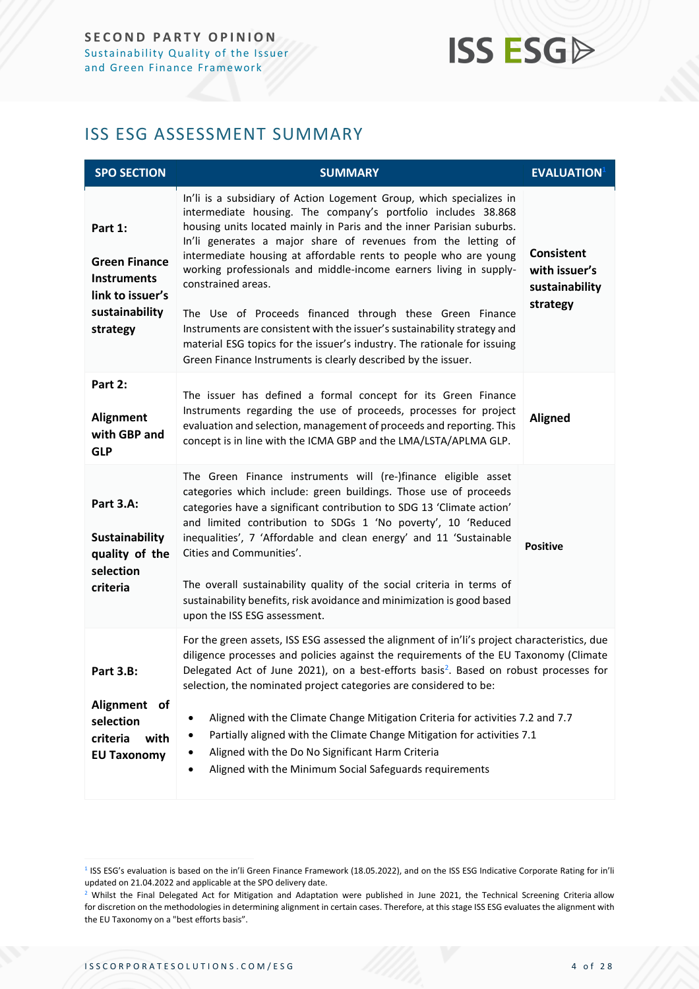### <span id="page-3-0"></span>ISS ESG ASSESSMENT SUMMARY

| <b>SPO SECTION</b>                                                                                      | <b>SUMMARY</b>                                                                                                                                                                                                                                                                                                                                                                                                                                                                                                                                                                                                                                                                                                                      | <b>EVALUATION</b> <sup>1</sup>                                   |  |
|---------------------------------------------------------------------------------------------------------|-------------------------------------------------------------------------------------------------------------------------------------------------------------------------------------------------------------------------------------------------------------------------------------------------------------------------------------------------------------------------------------------------------------------------------------------------------------------------------------------------------------------------------------------------------------------------------------------------------------------------------------------------------------------------------------------------------------------------------------|------------------------------------------------------------------|--|
| Part 1:<br><b>Green Finance</b><br><b>Instruments</b><br>link to issuer's<br>sustainability<br>strategy | In'li is a subsidiary of Action Logement Group, which specializes in<br>intermediate housing. The company's portfolio includes 38.868<br>housing units located mainly in Paris and the inner Parisian suburbs.<br>In'li generates a major share of revenues from the letting of<br>intermediate housing at affordable rents to people who are young<br>working professionals and middle-income earners living in supply-<br>constrained areas.<br>The Use of Proceeds financed through these Green Finance<br>Instruments are consistent with the issuer's sustainability strategy and<br>material ESG topics for the issuer's industry. The rationale for issuing<br>Green Finance Instruments is clearly described by the issuer. | <b>Consistent</b><br>with issuer's<br>sustainability<br>strategy |  |
| Part 2:<br><b>Alignment</b><br>with GBP and<br><b>GLP</b>                                               | The issuer has defined a formal concept for its Green Finance<br>Instruments regarding the use of proceeds, processes for project<br>evaluation and selection, management of proceeds and reporting. This<br>concept is in line with the ICMA GBP and the LMA/LSTA/APLMA GLP.                                                                                                                                                                                                                                                                                                                                                                                                                                                       | <b>Aligned</b>                                                   |  |
| <b>Part 3.A:</b><br><b>Sustainability</b><br>quality of the<br>selection<br>criteria                    | The Green Finance instruments will (re-)finance eligible asset<br>categories which include: green buildings. Those use of proceeds<br>categories have a significant contribution to SDG 13 'Climate action'<br>and limited contribution to SDGs 1 'No poverty', 10 'Reduced<br>inequalities', 7 'Affordable and clean energy' and 11 'Sustainable<br>Cities and Communities'.<br>The overall sustainability quality of the social criteria in terms of<br>sustainability benefits, risk avoidance and minimization is good based<br>upon the ISS ESG assessment.                                                                                                                                                                    | <b>Positive</b>                                                  |  |
| <b>Part 3.B:</b><br>Alignment of<br>selection<br>criteria<br>with<br><b>EU Taxonomy</b>                 | For the green assets, ISS ESG assessed the alignment of in'li's project characteristics, due<br>diligence processes and policies against the requirements of the EU Taxonomy (Climate<br>Delegated Act of June 2021), on a best-efforts basis <sup>2</sup> . Based on robust processes for<br>selection, the nominated project categories are considered to be:<br>Aligned with the Climate Change Mitigation Criteria for activities 7.2 and 7.7<br>$\bullet$<br>Partially aligned with the Climate Change Mitigation for activities 7.1<br>٠<br>Aligned with the Do No Significant Harm Criteria<br>Aligned with the Minimum Social Safeguards requirements                                                                       |                                                                  |  |

<sup>1</sup> ISS ESG's evaluation is based on the in'li Green Finance Framework (18.05.2022), and on the ISS ESG Indicative Corporate Rating for in'li updated on 21.04.2022 and applicable at the SPO delivery date.

<sup>&</sup>lt;sup>2</sup> Whilst the Final Delegated Act for Mitigation and Adaptation were published in June 2021, the Technical Screening Criteria allow for discretion on the methodologies in determining alignment in certain cases. Therefore, at this stage ISS ESG evaluates the alignment with the EU Taxonomy on a "best efforts basis".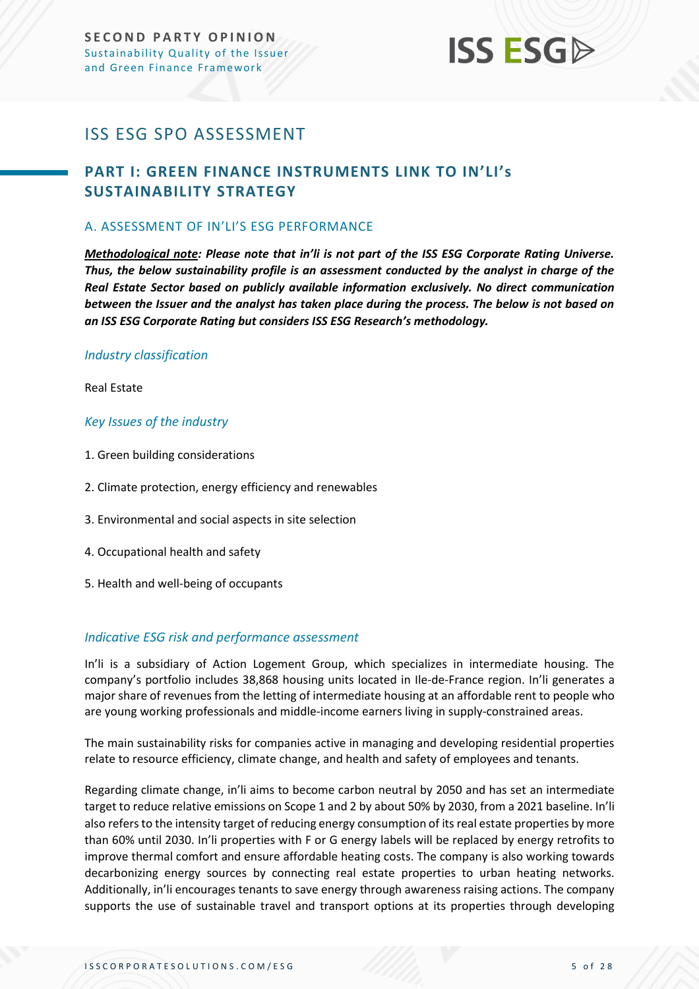### <span id="page-4-0"></span>ISS ESG SPO ASSESSMENT

### <span id="page-4-1"></span>**PART I: GREEN FINANCE INSTRUMENTS LINK TO IN'LI's SUSTAINABILITY STRATEGY**

### <span id="page-4-2"></span>A. ASSESSMENT OF IN'LI'S ESG PERFORMANCE

*Methodological note: Please note that in'li is not part of the ISS ESG Corporate Rating Universe. Thus, the below sustainability profile is an assessment conducted by the analyst in charge of the Real Estate Sector based on publicly available information exclusively. No direct communication between the Issuer and the analyst has taken place during the process. The below is not based on an ISS ESG Corporate Rating but considers ISS ESG Research's methodology.*

### *Industry classification*

Real Estate

### *Key Issues of the industry*

- 1. Green building considerations
- 2. Climate protection, energy efficiency and renewables
- 3. Environmental and social aspects in site selection
- 4. Occupational health and safety
- 5. Health and well-being of occupants

### *Indicative ESG risk and performance assessment*

In'li is a subsidiary of Action Logement Group, which specializes in intermediate housing. The company's portfolio includes 38,868 housing units located in Ile-de-France region. In'li generates a major share of revenues from the letting of intermediate housing at an affordable rent to people who are young working professionals and middle-income earners living in supply-constrained areas.

The main sustainability risks for companies active in managing and developing residential properties relate to resource efficiency, climate change, and health and safety of employees and tenants.

Regarding climate change, in'li aims to become carbon neutral by 2050 and has set an intermediate target to reduce relative emissions on Scope 1 and 2 by about 50% by 2030, from a 2021 baseline. In'li also refers to the intensity target of reducing energy consumption of its real estate properties by more than 60% until 2030. In'li properties with F or G energy labels will be replaced by energy retrofits to improve thermal comfort and ensure affordable heating costs. The company is also working towards decarbonizing energy sources by connecting real estate properties to urban heating networks. Additionally, in'li encourages tenants to save energy through awareness raising actions. The company supports the use of sustainable travel and transport options at its properties through developing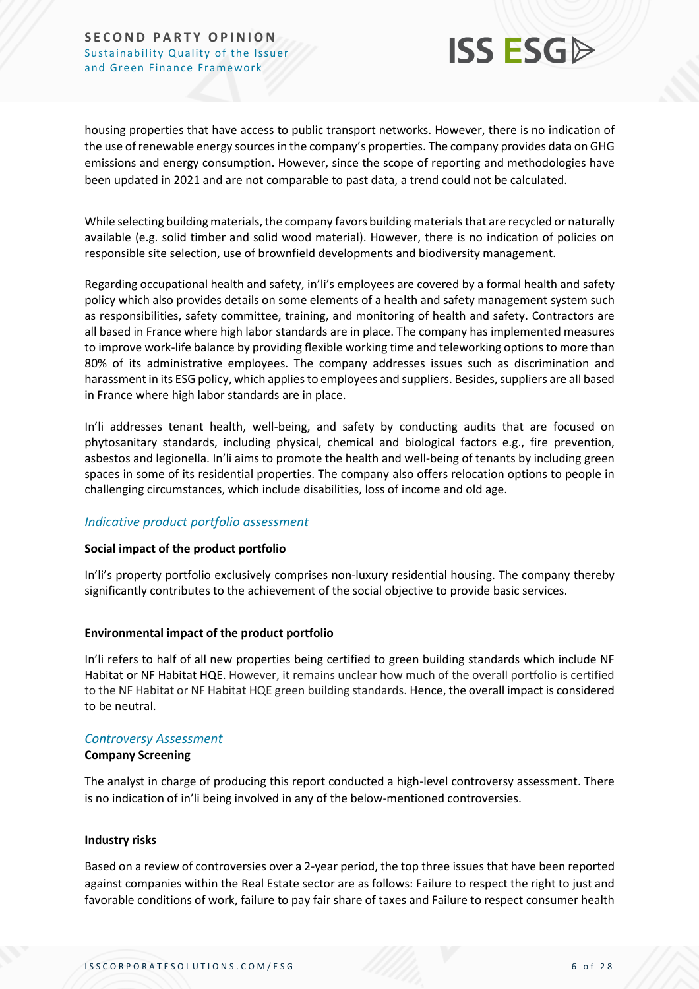

housing properties that have access to public transport networks. However, there is no indication of the use of renewable energy sources in the company's properties. The company provides data on GHG emissions and energy consumption. However, since the scope of reporting and methodologies have been updated in 2021 and are not comparable to past data, a trend could not be calculated.

While selecting building materials, the company favors building materials that are recycled or naturally available (e.g. solid timber and solid wood material). However, there is no indication of policies on responsible site selection, use of brownfield developments and biodiversity management.

Regarding occupational health and safety, in'li's employees are covered by a formal health and safety policy which also provides details on some elements of a health and safety management system such as responsibilities, safety committee, training, and monitoring of health and safety. Contractors are all based in France where high labor standards are in place. The company has implemented measures to improve work-life balance by providing flexible working time and teleworking options to more than 80% of its administrative employees. The company addresses issues such as discrimination and harassment in its ESG policy, which applies to employees and suppliers. Besides, suppliers are all based in France where high labor standards are in place.

In'li addresses tenant health, well-being, and safety by conducting audits that are focused on phytosanitary standards, including physical, chemical and biological factors e.g., fire prevention, asbestos and legionella. In'li aims to promote the health and well-being of tenants by including green spaces in some of its residential properties. The company also offers relocation options to people in challenging circumstances, which include disabilities, loss of income and old age.

### *Indicative product portfolio assessment*

### **Social impact of the product portfolio**

In'li's property portfolio exclusively comprises non-luxury residential housing. The company thereby significantly contributes to the achievement of the social objective to provide basic services.

### **Environmental impact of the product portfolio**

In'li refers to half of all new properties being certified to green building standards which include NF Habitat or NF Habitat HQE. However, it remains unclear how much of the overall portfolio is certified to the NF Habitat or NF Habitat HQE green building standards. Hence, the overall impact is considered to be neutral.

### *Controversy Assessment*

### **Company Screening**

The analyst in charge of producing this report conducted a high-level controversy assessment. There is no indication of in'li being involved in any of the below-mentioned controversies.

#### **Industry risks**

Based on a review of controversies over a 2-year period, the top three issues that have been reported against companies within the Real Estate sector are as follows: Failure to respect the right to just and favorable conditions of work, failure to pay fair share of taxes and Failure to respect consumer health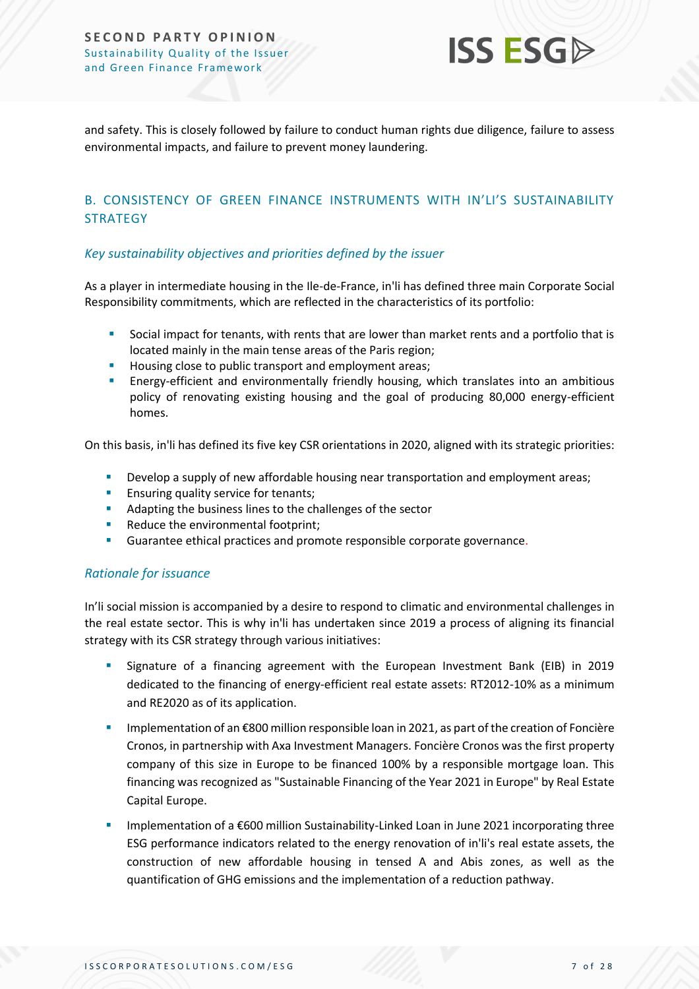

and safety. This is closely followed by failure to conduct human rights due diligence, failure to assess environmental impacts, and failure to prevent money laundering.

### <span id="page-6-0"></span>B. CONSISTENCY OF GREEN FINANCE INSTRUMENTS WITH IN'LI'S SUSTAINABILITY **STRATEGY**

### *Key sustainability objectives and priorities defined by the issuer*

As a player in intermediate housing in the Ile-de-France, in'li has defined three main Corporate Social Responsibility commitments, which are reflected in the characteristics of its portfolio:

- Social impact for tenants, with rents that are lower than market rents and a portfolio that is located mainly in the main tense areas of the Paris region;
- Housing close to public transport and employment areas;
- Energy-efficient and environmentally friendly housing, which translates into an ambitious policy of renovating existing housing and the goal of producing 80,000 energy-efficient homes.

On this basis, in'li has defined its five key CSR orientations in 2020, aligned with its strategic priorities:

- **E** Develop a supply of new affordable housing near transportation and employment areas;
- **Ensuring quality service for tenants;**
- Adapting the business lines to the challenges of the sector
- Reduce the environmental footprint;
- Guarantee ethical practices and promote responsible corporate governance.

### *Rationale for issuance*

In'li social mission is accompanied by a desire to respond to climatic and environmental challenges in the real estate sector. This is why in'li has undertaken since 2019 a process of aligning its financial strategy with its CSR strategy through various initiatives:

- Signature of a financing agreement with the European Investment Bank (EIB) in 2019 dedicated to the financing of energy-efficient real estate assets: RT2012-10% as a minimum and RE2020 as of its application.
- Implementation of an €800 million responsible loan in 2021, as part of the creation of Foncière Cronos, in partnership with Axa Investment Managers. Foncière Cronos was the first property company of this size in Europe to be financed 100% by a responsible mortgage loan. This financing was recognized as "Sustainable Financing of the Year 2021 in Europe" by Real Estate Capital Europe.
- Implementation of a €600 million Sustainability-Linked Loan in June 2021 incorporating three ESG performance indicators related to the energy renovation of in'li's real estate assets, the construction of new affordable housing in tensed A and Abis zones, as well as the quantification of GHG emissions and the implementation of a reduction pathway.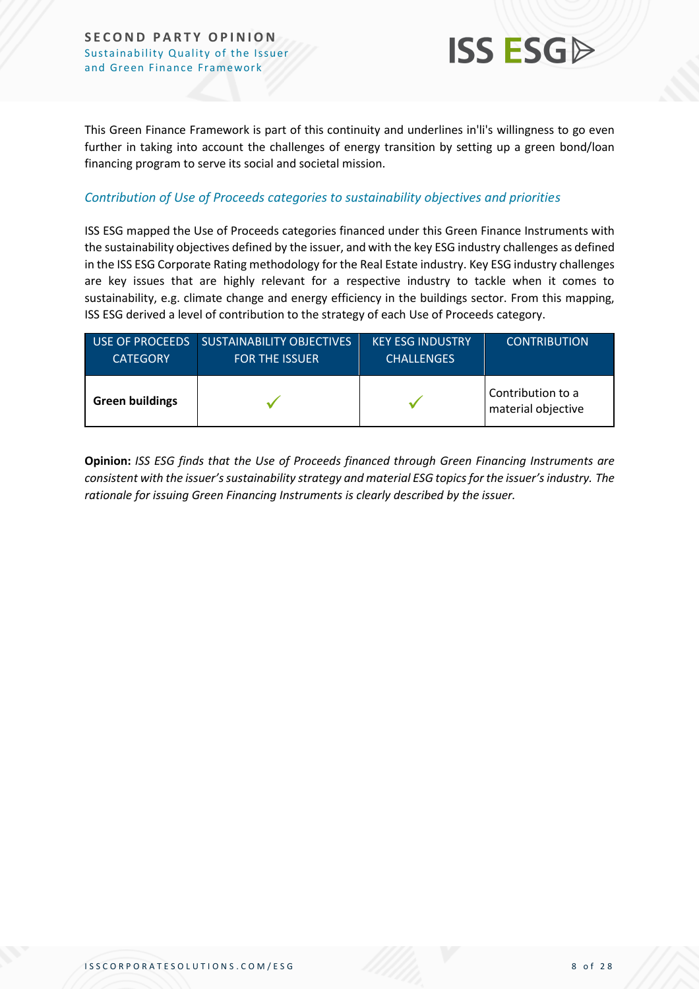

This Green Finance Framework is part of this continuity and underlines in'li's willingness to go even further in taking into account the challenges of energy transition by setting up a green bond/loan financing program to serve its social and societal mission.

### *Contribution of Use of Proceeds categories to sustainability objectives and priorities*

ISS ESG mapped the Use of Proceeds categories financed under this Green Finance Instruments with the sustainability objectives defined by the issuer, and with the key ESG industry challenges as defined in the ISS ESG Corporate Rating methodology for the Real Estate industry. Key ESG industry challenges are key issues that are highly relevant for a respective industry to tackle when it comes to sustainability, e.g. climate change and energy efficiency in the buildings sector. From this mapping, ISS ESG derived a level of contribution to the strategy of each Use of Proceeds category.

| <b>CATEGORY</b>        | USE OF PROCEEDS SUSTAINABILITY OBJECTIVES<br><b>FOR THE ISSUER</b> | <b>KEY ESG INDUSTRY</b><br><b>CHALLENGES</b> | <b>CONTRIBUTION</b>                     |
|------------------------|--------------------------------------------------------------------|----------------------------------------------|-----------------------------------------|
| <b>Green buildings</b> |                                                                    |                                              | Contribution to a<br>material objective |

**Opinion:** *ISS ESG finds that the Use of Proceeds financed through Green Financing Instruments are consistent with the issuer's sustainability strategy and material ESG topics for the issuer's industry. The rationale for issuing Green Financing Instruments is clearly described by the issuer.*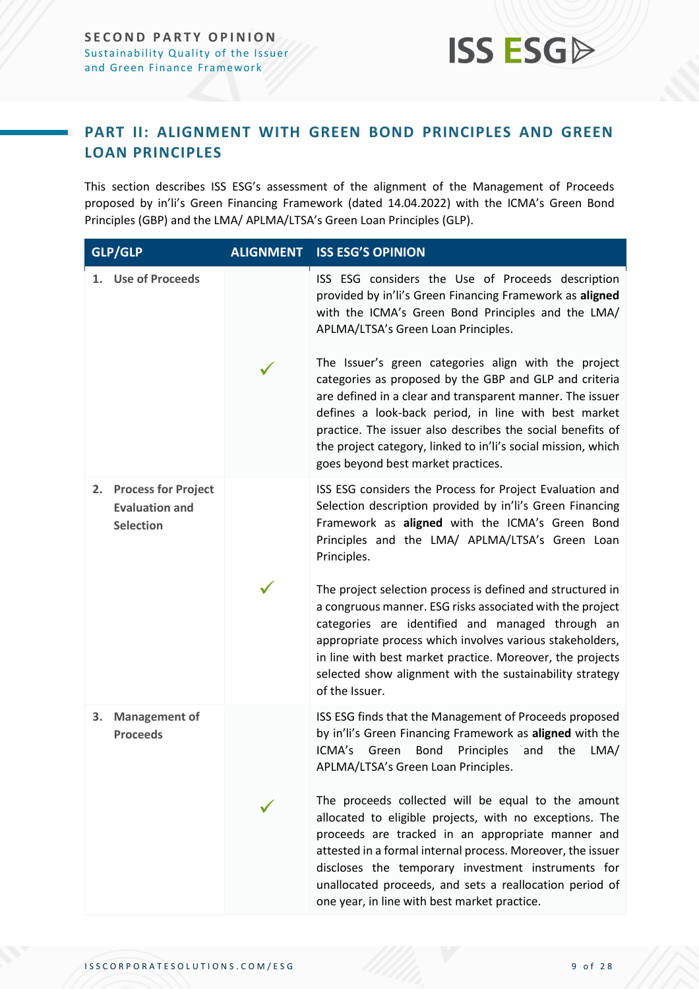### <span id="page-8-0"></span>**PART II: ALIGNMENT WITH GREEN BOND PRINCIPLES AND GREEN LOAN PRINCIPLES**

This section describes ISS ESG's assessment of the alignment of the Management of Proceeds proposed by in'li's Green Financing Framework (dated 14.04.2022) with the ICMA's Green Bond Principles (GBP) and the LMA/ APLMA/LTSA's Green Loan Principles (GLP).

| <b>GLP/GLP</b>                                                      | <b>ALIGNMENT ISS ESG'S OPINION</b>                                                                                                                                                                                                                                                                                                                                                                       |
|---------------------------------------------------------------------|----------------------------------------------------------------------------------------------------------------------------------------------------------------------------------------------------------------------------------------------------------------------------------------------------------------------------------------------------------------------------------------------------------|
| <b>Use of Proceeds</b><br>1.                                        | ISS ESG considers the Use of Proceeds description<br>provided by in'li's Green Financing Framework as aligned<br>with the ICMA's Green Bond Principles and the LMA/<br>APLMA/LTSA's Green Loan Principles.                                                                                                                                                                                               |
|                                                                     | The Issuer's green categories align with the project<br>categories as proposed by the GBP and GLP and criteria<br>are defined in a clear and transparent manner. The issuer<br>defines a look-back period, in line with best market<br>practice. The issuer also describes the social benefits of<br>the project category, linked to in'li's social mission, which<br>goes beyond best market practices. |
| 2. Process for Project<br><b>Evaluation and</b><br><b>Selection</b> | ISS ESG considers the Process for Project Evaluation and<br>Selection description provided by in'li's Green Financing<br>Framework as aligned with the ICMA's Green Bond<br>Principles and the LMA/ APLMA/LTSA's Green Loan<br>Principles.                                                                                                                                                               |
|                                                                     | The project selection process is defined and structured in<br>a congruous manner. ESG risks associated with the project<br>categories are identified and managed through an<br>appropriate process which involves various stakeholders,<br>in line with best market practice. Moreover, the projects<br>selected show alignment with the sustainability strategy<br>of the Issuer.                       |
| <b>Management of</b><br>3.<br><b>Proceeds</b>                       | ISS ESG finds that the Management of Proceeds proposed<br>by in'li's Green Financing Framework as aligned with the<br>ICMA's<br>Bond<br>Green<br>Principles<br>and<br>the<br>LMA/<br>APLMA/LTSA's Green Loan Principles.                                                                                                                                                                                 |
|                                                                     | The proceeds collected will be equal to the amount<br>allocated to eligible projects, with no exceptions. The<br>proceeds are tracked in an appropriate manner and<br>attested in a formal internal process. Moreover, the issuer<br>discloses the temporary investment instruments for<br>unallocated proceeds, and sets a reallocation period of<br>one year, in line with best market practice.       |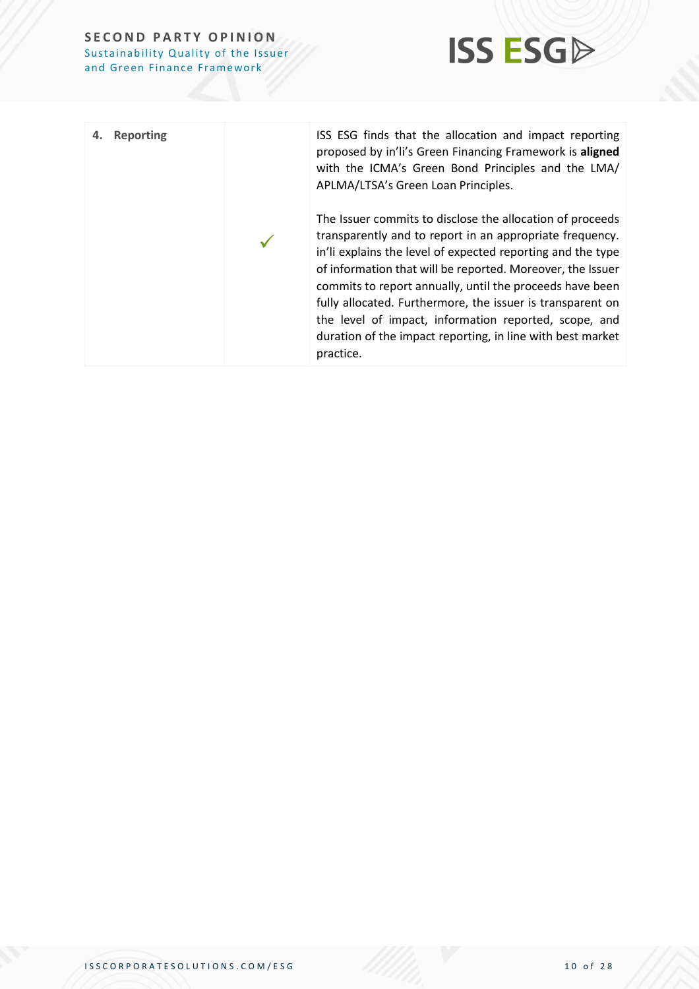

| Reporting<br>4. | ISS ESG finds that the allocation and impact reporting<br>proposed by in'li's Green Financing Framework is aligned<br>with the ICMA's Green Bond Principles and the LMA/<br>APLMA/LTSA's Green Loan Principles.                                                                                                                                                                                                                                                                                                  |
|-----------------|------------------------------------------------------------------------------------------------------------------------------------------------------------------------------------------------------------------------------------------------------------------------------------------------------------------------------------------------------------------------------------------------------------------------------------------------------------------------------------------------------------------|
|                 | The Issuer commits to disclose the allocation of proceeds<br>transparently and to report in an appropriate frequency.<br>in'li explains the level of expected reporting and the type<br>of information that will be reported. Moreover, the Issuer<br>commits to report annually, until the proceeds have been<br>fully allocated. Furthermore, the issuer is transparent on<br>the level of impact, information reported, scope, and<br>duration of the impact reporting, in line with best market<br>practice. |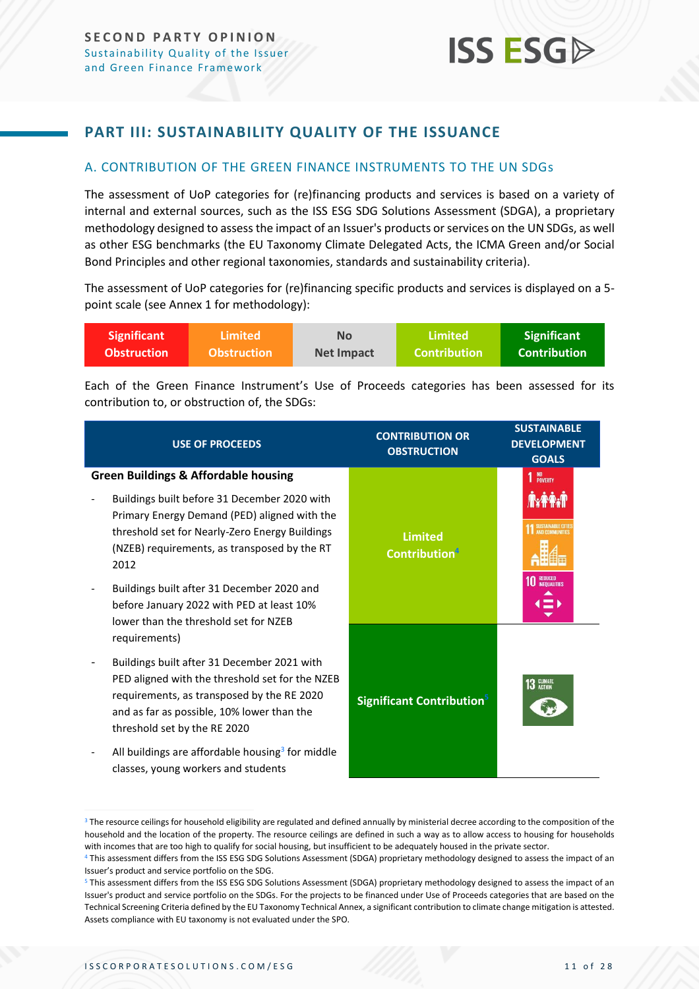### <span id="page-10-0"></span>**PART III: SUSTAINABILITY QUALITY OF THE ISSUANCE**

### <span id="page-10-1"></span>A. CONTRIBUTION OF THE GREEN FINANCE INSTRUMENTS TO THE UN SDGs

The assessment of UoP categories for (re)financing products and services is based on a variety of internal and external sources, such as the ISS ESG SDG Solutions Assessment (SDGA), a proprietary methodology designed to assess the impact of an Issuer's products or services on the UN SDGs, as well as other ESG benchmarks (the EU Taxonomy Climate Delegated Acts, the ICMA Green and/or Social Bond Principles and other regional taxonomies, standards and sustainability criteria).

The assessment of UoP categories for (re)financing specific products and services is displayed on a 5 point scale (see Annex 1 for methodology):

| <b>Significant</b> | <b>Limited</b>     | No         | Limited             | <b>Significant</b>  |
|--------------------|--------------------|------------|---------------------|---------------------|
| <b>Obstruction</b> | <b>Obstruction</b> | Net Impact | <b>Contribution</b> | <b>Contribution</b> |

Each of the Green Finance Instrument's Use of Proceeds categories has been assessed for its contribution to, or obstruction of, the SDGs:

| <b>USE OF PROCEEDS</b>                                                                                                                                                                                                     | <b>CONTRIBUTION OR</b><br><b>OBSTRUCTION</b>       | <b>SUSTAINABLE</b><br><b>DEVELOPMENT</b><br><b>GOALS</b> |
|----------------------------------------------------------------------------------------------------------------------------------------------------------------------------------------------------------------------------|----------------------------------------------------|----------------------------------------------------------|
| <b>Green Buildings &amp; Affordable housing</b><br>Buildings built before 31 December 2020 with<br>Primary Energy Demand (PED) aligned with the                                                                            |                                                    | 1 NO <sub>POVERTY</sub>                                  |
| threshold set for Nearly-Zero Energy Buildings<br>(NZEB) requirements, as transposed by the RT<br>2012                                                                                                                     | <b>Limited</b><br><b>Contribution</b> <sup>4</sup> |                                                          |
| Buildings built after 31 December 2020 and<br>before January 2022 with PED at least 10%<br>lower than the threshold set for NZEB<br>requirements)                                                                          |                                                    |                                                          |
| Buildings built after 31 December 2021 with<br>PED aligned with the threshold set for the NZEB<br>requirements, as transposed by the RE 2020<br>and as far as possible, 10% lower than the<br>threshold set by the RE 2020 | <b>Significant Contribution</b> <sup>5</sup>       | 13 CLIMATE                                               |
| All buildings are affordable housing <sup>3</sup> for middle<br>classes, young workers and students                                                                                                                        |                                                    |                                                          |

<sup>&</sup>lt;sup>3</sup> The resource ceilings for household eligibility are regulated and defined annually by ministerial decree according to the composition of the household and the location of the property. The resource ceilings are defined in such a way as to allow access to housing for households with incomes that are too high to qualify for social housing, but insufficient to be adequately housed in the private sector.

<sup>4</sup> This assessment differs from the ISS ESG SDG Solutions Assessment (SDGA) proprietary methodology designed to assess the impact of an Issuer's product and service portfolio on the SDG.

<sup>5</sup> This assessment differs from the ISS ESG SDG Solutions Assessment (SDGA) proprietary methodology designed to assess the impact of an Issuer's product and service portfolio on the SDGs. For the projects to be financed under Use of Proceeds categories that are based on the Technical Screening Criteria defined by the EU Taxonomy Technical Annex, a significant contribution to climate change mitigation is attested. Assets compliance with EU taxonomy is not evaluated under the SPO.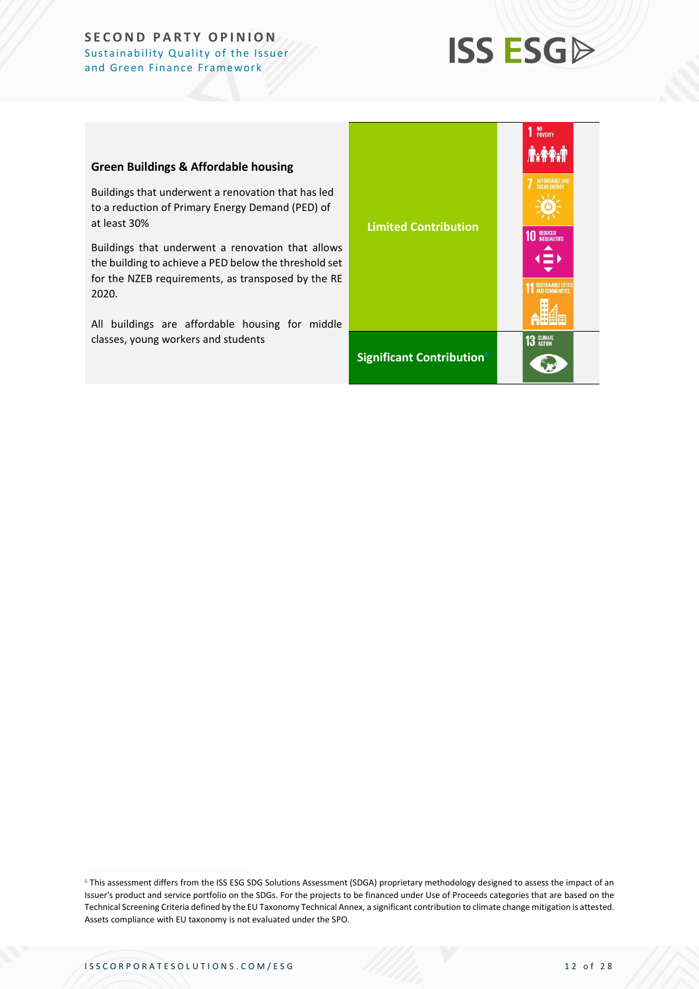## **ISS ESGA**

#### **Green Buildings & Affordable housing**

Buildings that underwent a renovation that has led to a reduction of Primary Energy Demand (PED) of at least 30%

Buildings that underwent a renovation that allows the building to achieve a PED below the threshold set for the NZEB requirements, as transposed by the RE 2020.

All buildings are affordable housing for middle classes, young workers and students

| <b>Limited Contribution</b>           | NO<br>Poverty<br><b>A.FA.F</b><br><b>AFFORDABLE AND</b><br><b>CIEAN ENERGY</b><br><b>REDUCED<br/>INEQUALITIES</b><br>4 = K<br><b>SUSTAINABLE CITIES</b><br>AND COMMUNITIES<br>Ŧ |
|---------------------------------------|---------------------------------------------------------------------------------------------------------------------------------------------------------------------------------|
| Significant Contribution <sup>6</sup> | <b>CLIMATE</b><br>ACTION<br>13                                                                                                                                                  |

<sup>6</sup> This assessment differs from the ISS ESG SDG Solutions Assessment (SDGA) proprietary methodology designed to assess the impact of an Issuer's product and service portfolio on the SDGs. For the projects to be financed under Use of Proceeds categories that are based on the Technical Screening Criteria defined by the EU Taxonomy Technical Annex, a significant contribution to climate change mitigation is attested. Assets compliance with EU taxonomy is not evaluated under the SPO.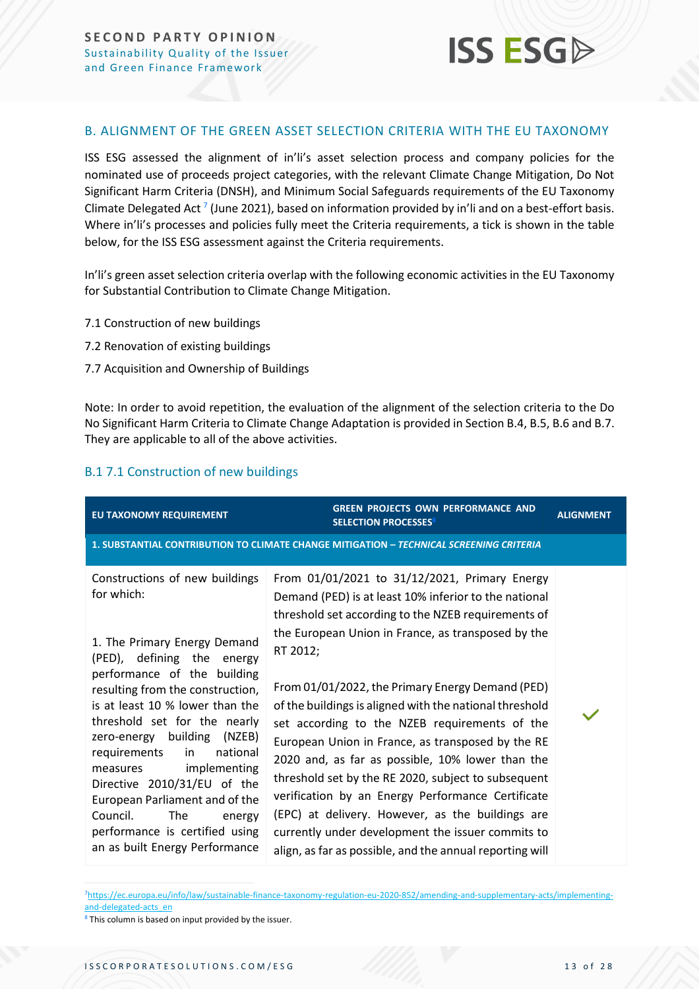

### <span id="page-12-0"></span>B. ALIGNMENT OF THE GREEN ASSET SELECTION CRITERIA WITH THE EU TAXONOMY

ISS ESG assessed the alignment of in'li's asset selection process and company policies for the nominated use of proceeds project categories, with the relevant Climate Change Mitigation, Do Not Significant Harm Criteria (DNSH), and Minimum Social Safeguards requirements of the EU Taxonomy Climate Delegated Act  $^7$  (June 2021), based on information provided by in'li and on a best-effort basis. Where in'li's processes and policies fully meet the Criteria requirements, a tick is shown in the table below, for the ISS ESG assessment against the Criteria requirements.

In'li's green asset selection criteria overlap with the following economic activities in the EU Taxonomy for Substantial Contribution to Climate Change Mitigation.

- 7.1 Construction of new buildings
- 7.2 Renovation of existing buildings
- 7.7 Acquisition and Ownership of Buildings

Note: In order to avoid repetition, the evaluation of the alignment of the selection criteria to the Do No Significant Harm Criteria to Climate Change Adaptation is provided in Section B.4, B.5, B.6 and B.7. They are applicable to all of the above activities.

### B.1 7.1 Construction of new buildings

| EU TAXONOMY REQUIREMENT                                                                                                                                                                                                                                                                                                                                                                                                                                                                                                | <b>GREEN PROJECTS OWN PERFORMANCE AND</b><br><b>SELECTION PROCESSES<sup>8</sup></b>                                                                                                                                                                                                                                                                                                                                                                                                                                                                                                                                                                                                                                                                                                       | <b>ALIGNMENT</b> |
|------------------------------------------------------------------------------------------------------------------------------------------------------------------------------------------------------------------------------------------------------------------------------------------------------------------------------------------------------------------------------------------------------------------------------------------------------------------------------------------------------------------------|-------------------------------------------------------------------------------------------------------------------------------------------------------------------------------------------------------------------------------------------------------------------------------------------------------------------------------------------------------------------------------------------------------------------------------------------------------------------------------------------------------------------------------------------------------------------------------------------------------------------------------------------------------------------------------------------------------------------------------------------------------------------------------------------|------------------|
|                                                                                                                                                                                                                                                                                                                                                                                                                                                                                                                        | 1. SUBSTANTIAL CONTRIBUTION TO CLIMATE CHANGE MITIGATION - TECHNICAL SCREENING CRITERIA                                                                                                                                                                                                                                                                                                                                                                                                                                                                                                                                                                                                                                                                                                   |                  |
| Constructions of new buildings<br>for which:<br>1. The Primary Energy Demand<br>(PED), defining the energy<br>performance of the building<br>resulting from the construction,<br>is at least 10 % lower than the<br>threshold set for the nearly<br>zero-energy building (NZEB)<br>national<br>requirements<br>in<br>implementing<br>measures<br>Directive 2010/31/EU of the<br>European Parliament and of the<br>Council.<br><b>The</b><br>energy<br>performance is certified using<br>an as built Energy Performance | From 01/01/2021 to 31/12/2021, Primary Energy<br>Demand (PED) is at least 10% inferior to the national<br>threshold set according to the NZEB requirements of<br>the European Union in France, as transposed by the<br>RT 2012;<br>From 01/01/2022, the Primary Energy Demand (PED)<br>of the buildings is aligned with the national threshold<br>set according to the NZEB requirements of the<br>European Union in France, as transposed by the RE<br>2020 and, as far as possible, 10% lower than the<br>threshold set by the RE 2020, subject to subsequent<br>verification by an Energy Performance Certificate<br>(EPC) at delivery. However, as the buildings are<br>currently under development the issuer commits to<br>align, as far as possible, and the annual reporting will |                  |

7[https://ec.europa.eu/info/law/sustainable-finance-taxonomy-regulation-eu-2020-852/amending-and-supplementary-acts/implementing](https://ec.europa.eu/info/law/sustainable-finance-taxonomy-regulation-eu-2020-852/amending-and-supplementary-acts/implementing-and-delegated-acts_en)[and-delegated-acts\\_en](https://ec.europa.eu/info/law/sustainable-finance-taxonomy-regulation-eu-2020-852/amending-and-supplementary-acts/implementing-and-delegated-acts_en)

<sup>8</sup> This column is based on input provided by the issuer.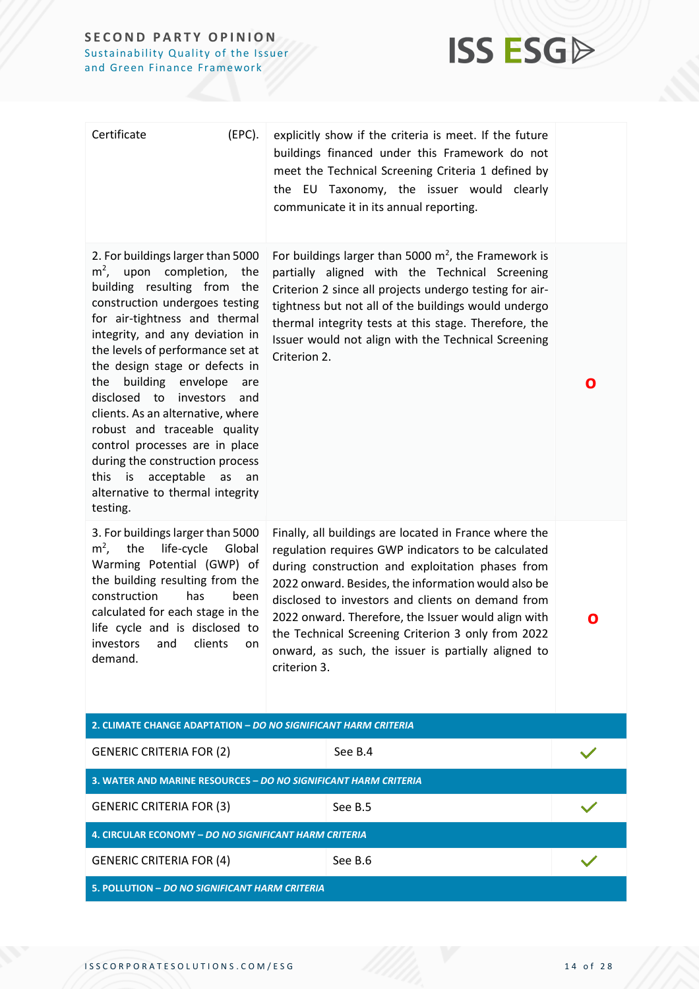

| Certificate<br>(EPC).                                                                                                                                                                                                                                                                                                                                                                                                                                                                                                                                                             | explicitly show if the criteria is meet. If the future<br>buildings financed under this Framework do not<br>meet the Technical Screening Criteria 1 defined by<br>the EU Taxonomy, the issuer would clearly<br>communicate it in its annual reporting.                                                                                                                                                                                                            |   |
|-----------------------------------------------------------------------------------------------------------------------------------------------------------------------------------------------------------------------------------------------------------------------------------------------------------------------------------------------------------------------------------------------------------------------------------------------------------------------------------------------------------------------------------------------------------------------------------|-------------------------------------------------------------------------------------------------------------------------------------------------------------------------------------------------------------------------------------------------------------------------------------------------------------------------------------------------------------------------------------------------------------------------------------------------------------------|---|
| 2. For buildings larger than 5000<br>$m2$ , upon completion,<br>the<br>building resulting from the<br>construction undergoes testing<br>for air-tightness and thermal<br>integrity, and any deviation in<br>the levels of performance set at<br>the design stage or defects in<br>building envelope<br>the<br>are<br>disclosed to<br>investors<br>and<br>clients. As an alternative, where<br>robust and traceable quality<br>control processes are in place<br>during the construction process<br>this is acceptable<br>as<br>an<br>alternative to thermal integrity<br>testing. | For buildings larger than 5000 $m^2$ , the Framework is<br>partially aligned with the Technical Screening<br>Criterion 2 since all projects undergo testing for air-<br>tightness but not all of the buildings would undergo<br>thermal integrity tests at this stage. Therefore, the<br>Issuer would not align with the Technical Screening<br>Criterion 2.                                                                                                      | O |
| 3. For buildings larger than 5000<br>$m2$ ,<br>the<br>life-cycle<br>Global<br>Warming Potential (GWP) of<br>the building resulting from the<br>construction<br>has<br>been<br>calculated for each stage in the<br>life cycle and is disclosed to<br>investors and clients on<br>demand.                                                                                                                                                                                                                                                                                           | Finally, all buildings are located in France where the<br>regulation requires GWP indicators to be calculated<br>during construction and exploitation phases from<br>2022 onward. Besides, the information would also be<br>disclosed to investors and clients on demand from<br>2022 onward. Therefore, the Issuer would align with<br>the Technical Screening Criterion 3 only from 2022<br>onward, as such, the issuer is partially aligned to<br>criterion 3. | O |
| 2. CLIMATE CHANGE ADAPTATION - DO NO SIGNIFICANT HARM CRITERIA                                                                                                                                                                                                                                                                                                                                                                                                                                                                                                                    |                                                                                                                                                                                                                                                                                                                                                                                                                                                                   |   |
| <b>GENERIC CRITERIA FOR (2)</b>                                                                                                                                                                                                                                                                                                                                                                                                                                                                                                                                                   | See B.4                                                                                                                                                                                                                                                                                                                                                                                                                                                           |   |
| 3. WATER AND MARINE RESOURCES - DO NO SIGNIFICANT HARM CRITERIA                                                                                                                                                                                                                                                                                                                                                                                                                                                                                                                   |                                                                                                                                                                                                                                                                                                                                                                                                                                                                   |   |
| <b>GENERIC CRITERIA FOR (3)</b>                                                                                                                                                                                                                                                                                                                                                                                                                                                                                                                                                   | See B.5                                                                                                                                                                                                                                                                                                                                                                                                                                                           |   |
| 4. CIRCULAR ECONOMY - DO NO SIGNIFICANT HARM CRITERIA                                                                                                                                                                                                                                                                                                                                                                                                                                                                                                                             |                                                                                                                                                                                                                                                                                                                                                                                                                                                                   |   |
| <b>GENERIC CRITERIA FOR (4)</b>                                                                                                                                                                                                                                                                                                                                                                                                                                                                                                                                                   | See B.6                                                                                                                                                                                                                                                                                                                                                                                                                                                           |   |
| 5. POLLUTION - DO NO SIGNIFICANT HARM CRITERIA                                                                                                                                                                                                                                                                                                                                                                                                                                                                                                                                    |                                                                                                                                                                                                                                                                                                                                                                                                                                                                   |   |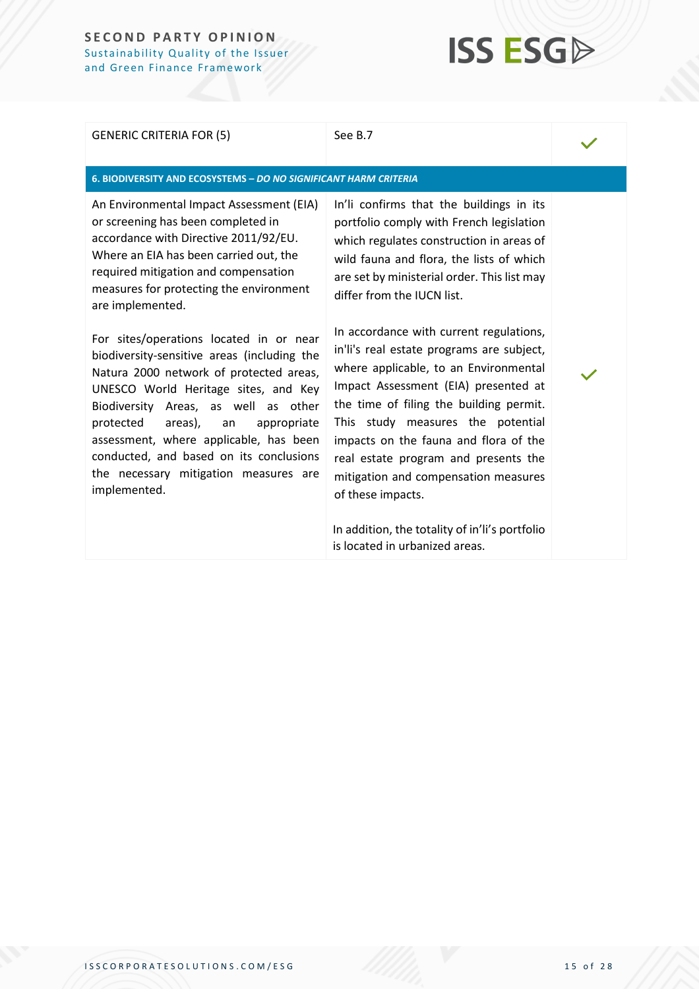## **ISS ESG**

#### GENERIC CRITERIA FOR (5) See B.7

#### **6. BIODIVERSITY AND ECOSYSTEMS –** *DO NO SIGNIFICANT HARM CRITERIA*

An Environmental Impact Assessment (EIA) or screening has been completed in accordance with Directive 2011/92/EU. Where an EIA has been carried out, the required mitigation and compensation measures for protecting the environment are implemented.

For sites/operations located in or near biodiversity-sensitive areas (including the Natura 2000 network of protected areas, UNESCO World Heritage sites, and Key Biodiversity Areas, as well as other protected areas), an appropriate assessment, where applicable, has been conducted, and based on its conclusions the necessary mitigation measures are implemented.

In'li confirms that the buildings in its portfolio comply with French legislation which regulates construction in areas of wild fauna and flora, the lists of which are set by ministerial order. This list may differ from the IUCN list.

In accordance with current regulations, in'li's real estate programs are subject, where applicable, to an Environmental Impact Assessment (EIA) presented at the time of filing the building permit. This study measures the potential impacts on the fauna and flora of the real estate program and presents the mitigation and compensation measures of these impacts.

In addition, the totality of in'li's portfolio is located in urbanized areas.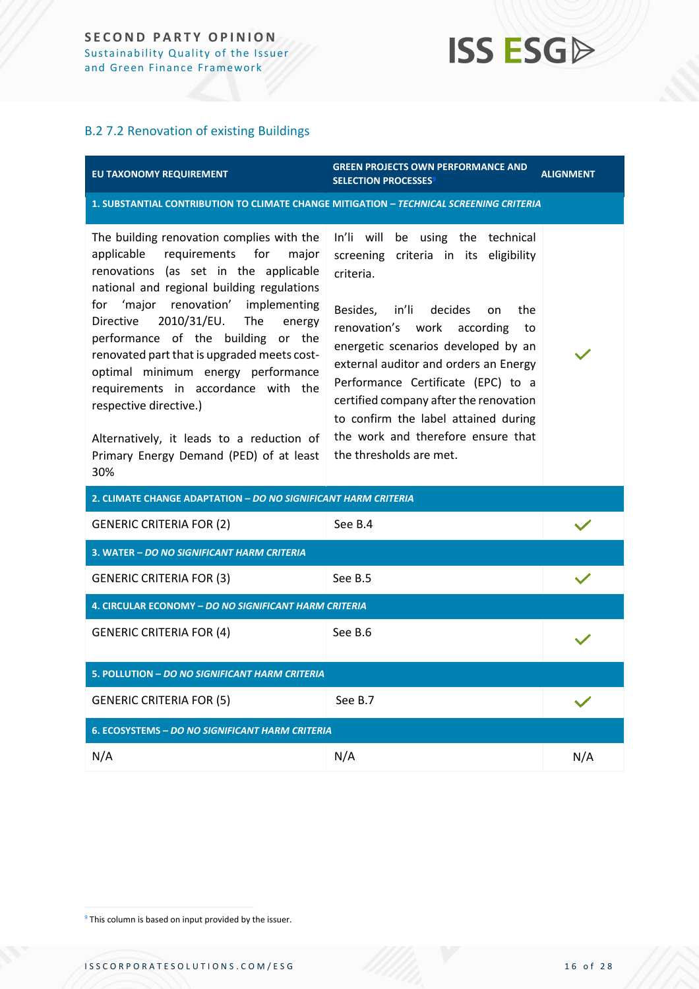### B.2 7.2 Renovation of existing Buildings

| EU TAXONOMY REQUIREMENT                                                                                                                                                                                                                                                                                                                                                                                                                                                                                                                                                    | <b>GREEN PROJECTS OWN PERFORMANCE AND</b><br><b>SELECTION PROCESSES<sup>9</sup></b>                                                                                                                                                                                                                                                                                                                                                                | <b>ALIGNMENT</b> |  |  |
|----------------------------------------------------------------------------------------------------------------------------------------------------------------------------------------------------------------------------------------------------------------------------------------------------------------------------------------------------------------------------------------------------------------------------------------------------------------------------------------------------------------------------------------------------------------------------|----------------------------------------------------------------------------------------------------------------------------------------------------------------------------------------------------------------------------------------------------------------------------------------------------------------------------------------------------------------------------------------------------------------------------------------------------|------------------|--|--|
| 1. SUBSTANTIAL CONTRIBUTION TO CLIMATE CHANGE MITIGATION - TECHNICAL SCREENING CRITERIA                                                                                                                                                                                                                                                                                                                                                                                                                                                                                    |                                                                                                                                                                                                                                                                                                                                                                                                                                                    |                  |  |  |
| The building renovation complies with the<br>requirements<br>applicable<br>for<br>major<br>renovations (as set in the applicable<br>national and regional building regulations<br>'major renovation'<br>implementing<br>for<br>2010/31/EU.<br>The<br><b>Directive</b><br>energy<br>performance of the building or the<br>renovated part that is upgraded meets cost-<br>optimal minimum energy performance<br>requirements in accordance with the<br>respective directive.)<br>Alternatively, it leads to a reduction of<br>Primary Energy Demand (PED) of at least<br>30% | In'li will be using the technical<br>screening criteria in its eligibility<br>criteria.<br>Besides,<br>in'li<br>decides<br>the<br>on<br>renovation's work according<br>to<br>energetic scenarios developed by an<br>external auditor and orders an Energy<br>Performance Certificate (EPC) to a<br>certified company after the renovation<br>to confirm the label attained during<br>the work and therefore ensure that<br>the thresholds are met. |                  |  |  |
| 2. CLIMATE CHANGE ADAPTATION - DO NO SIGNIFICANT HARM CRITERIA                                                                                                                                                                                                                                                                                                                                                                                                                                                                                                             |                                                                                                                                                                                                                                                                                                                                                                                                                                                    |                  |  |  |
| <b>GENERIC CRITERIA FOR (2)</b>                                                                                                                                                                                                                                                                                                                                                                                                                                                                                                                                            | See B.4                                                                                                                                                                                                                                                                                                                                                                                                                                            |                  |  |  |
| 3. WATER – DO NO SIGNIFICANT HARM CRITERIA                                                                                                                                                                                                                                                                                                                                                                                                                                                                                                                                 |                                                                                                                                                                                                                                                                                                                                                                                                                                                    |                  |  |  |
| <b>GENERIC CRITERIA FOR (3)</b>                                                                                                                                                                                                                                                                                                                                                                                                                                                                                                                                            | See B.5                                                                                                                                                                                                                                                                                                                                                                                                                                            |                  |  |  |
| 4. CIRCULAR ECONOMY - DO NO SIGNIFICANT HARM CRITERIA                                                                                                                                                                                                                                                                                                                                                                                                                                                                                                                      |                                                                                                                                                                                                                                                                                                                                                                                                                                                    |                  |  |  |
| <b>GENERIC CRITERIA FOR (4)</b>                                                                                                                                                                                                                                                                                                                                                                                                                                                                                                                                            | See B.6                                                                                                                                                                                                                                                                                                                                                                                                                                            |                  |  |  |
| 5. POLLUTION - DO NO SIGNIFICANT HARM CRITERIA                                                                                                                                                                                                                                                                                                                                                                                                                                                                                                                             |                                                                                                                                                                                                                                                                                                                                                                                                                                                    |                  |  |  |
| <b>GENERIC CRITERIA FOR (5)</b>                                                                                                                                                                                                                                                                                                                                                                                                                                                                                                                                            | See B.7                                                                                                                                                                                                                                                                                                                                                                                                                                            |                  |  |  |
| 6. ECOSYSTEMS – DO NO SIGNIFICANT HARM CRITERIA                                                                                                                                                                                                                                                                                                                                                                                                                                                                                                                            |                                                                                                                                                                                                                                                                                                                                                                                                                                                    |                  |  |  |
| N/A                                                                                                                                                                                                                                                                                                                                                                                                                                                                                                                                                                        | N/A                                                                                                                                                                                                                                                                                                                                                                                                                                                | N/A              |  |  |

<sup>&</sup>lt;sup>9</sup> This column is based on input provided by the issuer.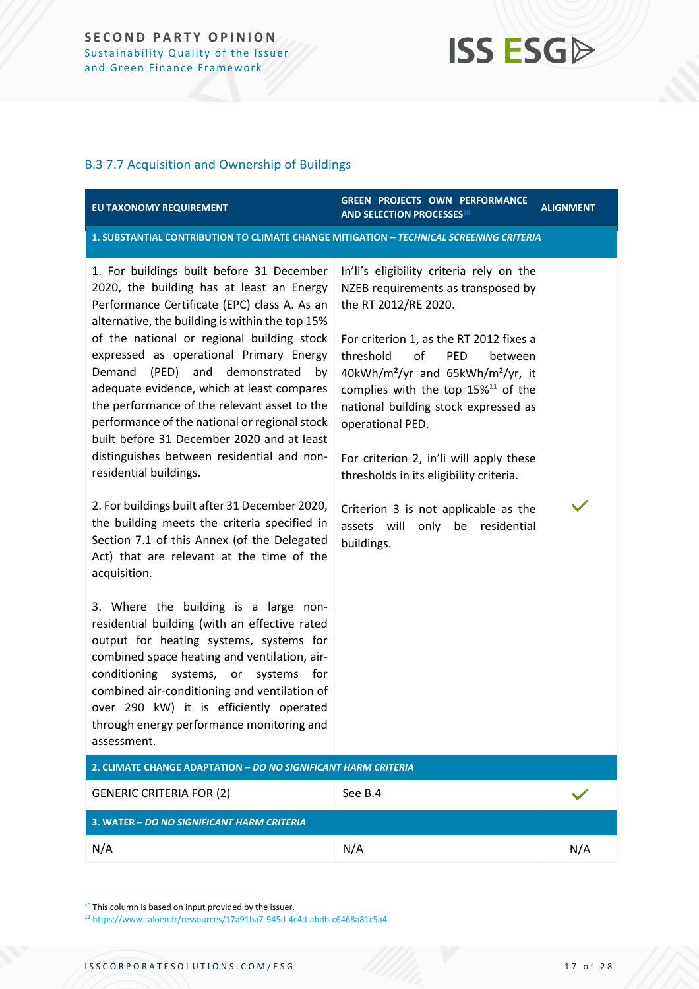### B.3 7.7 Acquisition and Ownership of Buildings

| EU TAXONOMY REQUIREMENT                                                                                                                                                                                                                                                                                                                                                                                                                                                                                                                                                                                                                                                                                                                                                                                                                                                                                                                                                                                                                                                                                                                                                                                   | <b>GREEN PROJECTS OWN PERFORMANCE</b><br><b>AND SELECTION PROCESSES10</b>                                                                                                                                                                                                                                                                                                                                                                                                                                                                                  | <b>ALIGNMENT</b> |  |  |  |  |
|-----------------------------------------------------------------------------------------------------------------------------------------------------------------------------------------------------------------------------------------------------------------------------------------------------------------------------------------------------------------------------------------------------------------------------------------------------------------------------------------------------------------------------------------------------------------------------------------------------------------------------------------------------------------------------------------------------------------------------------------------------------------------------------------------------------------------------------------------------------------------------------------------------------------------------------------------------------------------------------------------------------------------------------------------------------------------------------------------------------------------------------------------------------------------------------------------------------|------------------------------------------------------------------------------------------------------------------------------------------------------------------------------------------------------------------------------------------------------------------------------------------------------------------------------------------------------------------------------------------------------------------------------------------------------------------------------------------------------------------------------------------------------------|------------------|--|--|--|--|
|                                                                                                                                                                                                                                                                                                                                                                                                                                                                                                                                                                                                                                                                                                                                                                                                                                                                                                                                                                                                                                                                                                                                                                                                           | 1. SUBSTANTIAL CONTRIBUTION TO CLIMATE CHANGE MITIGATION - TECHNICAL SCREENING CRITERIA                                                                                                                                                                                                                                                                                                                                                                                                                                                                    |                  |  |  |  |  |
| 1. For buildings built before 31 December<br>2020, the building has at least an Energy<br>Performance Certificate (EPC) class A. As an<br>alternative, the building is within the top 15%<br>of the national or regional building stock<br>expressed as operational Primary Energy<br>(PED) and demonstrated<br>Demand<br>by<br>adequate evidence, which at least compares<br>the performance of the relevant asset to the<br>performance of the national or regional stock<br>built before 31 December 2020 and at least<br>distinguishes between residential and non-<br>residential buildings.<br>2. For buildings built after 31 December 2020,<br>the building meets the criteria specified in<br>Section 7.1 of this Annex (of the Delegated<br>Act) that are relevant at the time of the<br>acquisition.<br>3. Where the building is a large non-<br>residential building (with an effective rated<br>output for heating systems, systems for<br>combined space heating and ventilation, air-<br>conditioning systems, or<br>systems<br>for<br>combined air-conditioning and ventilation of<br>over 290 kW) it is efficiently operated<br>through energy performance monitoring and<br>assessment. | In'li's eligibility criteria rely on the<br>NZEB requirements as transposed by<br>the RT 2012/RE 2020.<br>For criterion 1, as the RT 2012 fixes a<br>threshold<br>of<br><b>PED</b><br>between<br>40kWh/m <sup>2</sup> /yr and 65kWh/m <sup>2</sup> /yr, it<br>complies with the top $15\%$ <sup>11</sup> of the<br>national building stock expressed as<br>operational PED.<br>For criterion 2, in'li will apply these<br>thresholds in its eligibility criteria.<br>Criterion 3 is not applicable as the<br>assets will only be residential<br>buildings. |                  |  |  |  |  |
| 2. CLIMATE CHANGE ADAPTATION - DO NO SIGNIFICANT HARM CRITERIA                                                                                                                                                                                                                                                                                                                                                                                                                                                                                                                                                                                                                                                                                                                                                                                                                                                                                                                                                                                                                                                                                                                                            |                                                                                                                                                                                                                                                                                                                                                                                                                                                                                                                                                            |                  |  |  |  |  |
| <b>GENERIC CRITERIA FOR (2)</b>                                                                                                                                                                                                                                                                                                                                                                                                                                                                                                                                                                                                                                                                                                                                                                                                                                                                                                                                                                                                                                                                                                                                                                           | See B.4                                                                                                                                                                                                                                                                                                                                                                                                                                                                                                                                                    |                  |  |  |  |  |
| 3. WATER - DO NO SIGNIFICANT HARM CRITERIA                                                                                                                                                                                                                                                                                                                                                                                                                                                                                                                                                                                                                                                                                                                                                                                                                                                                                                                                                                                                                                                                                                                                                                |                                                                                                                                                                                                                                                                                                                                                                                                                                                                                                                                                            |                  |  |  |  |  |
| N/A                                                                                                                                                                                                                                                                                                                                                                                                                                                                                                                                                                                                                                                                                                                                                                                                                                                                                                                                                                                                                                                                                                                                                                                                       | N/A                                                                                                                                                                                                                                                                                                                                                                                                                                                                                                                                                        | N/A              |  |  |  |  |

<sup>10</sup> This column is based on input provided by the issuer.

<sup>11</sup> <https://www.taloen.fr/ressources/17a91ba7-945d-4c4d-abdb-c6468a81c5a4>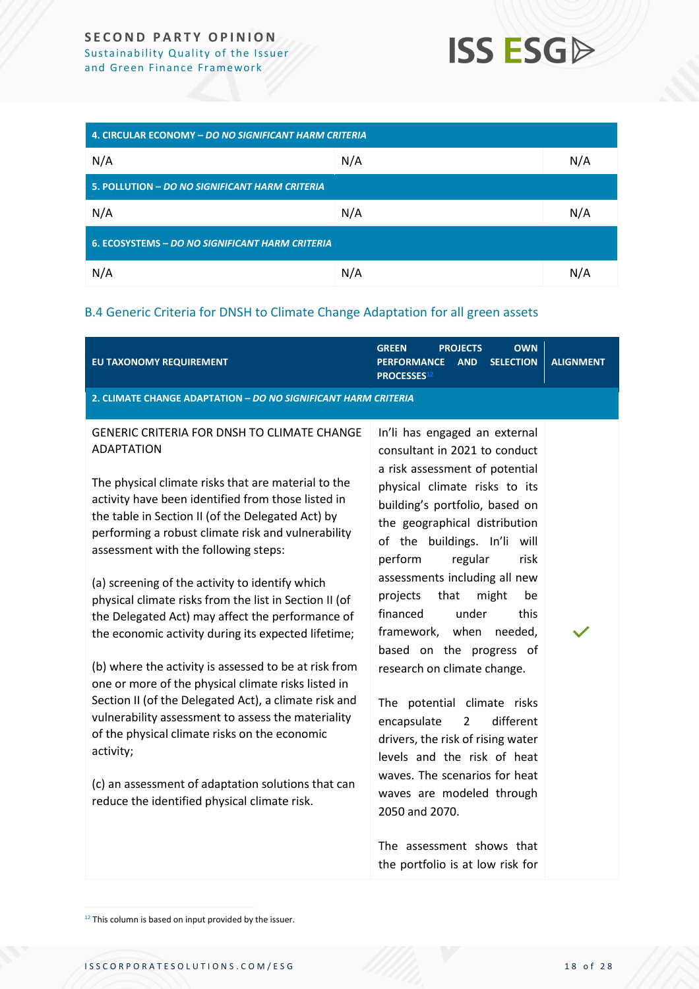| 4. CIRCULAR ECONOMY - DO NO SIGNIFICANT HARM CRITERIA  |     |     |  |  |
|--------------------------------------------------------|-----|-----|--|--|
| N/A                                                    | N/A | N/A |  |  |
| 5. POLLUTION - DO NO SIGNIFICANT HARM CRITERIA         |     |     |  |  |
| N/A                                                    | N/A | N/A |  |  |
| <b>6. ECOSYSTEMS - DO NO SIGNIFICANT HARM CRITERIA</b> |     |     |  |  |
| N/A                                                    | N/A | N/A |  |  |

### B.4 Generic Criteria for DNSH to Climate Change Adaptation for all green assets

| EU TAXONOMY REQUIREMENT                                                                                                                                                                                                                                                                                                                                                                                                                                                                                                                                                                                                                                                                                                                                                                                                                                                                                                                                            | <b>OWN</b><br><b>GREEN</b><br><b>PROJECTS</b><br><b>SELECTION</b><br><b>PERFORMANCE</b><br><b>AND</b><br><b>PROCESSES12</b>                                                                                                                                                                                                                                                                                                                                                                                                                                                                                                                                                                | <b>ALIGNMENT</b> |  |  |  |  |
|--------------------------------------------------------------------------------------------------------------------------------------------------------------------------------------------------------------------------------------------------------------------------------------------------------------------------------------------------------------------------------------------------------------------------------------------------------------------------------------------------------------------------------------------------------------------------------------------------------------------------------------------------------------------------------------------------------------------------------------------------------------------------------------------------------------------------------------------------------------------------------------------------------------------------------------------------------------------|--------------------------------------------------------------------------------------------------------------------------------------------------------------------------------------------------------------------------------------------------------------------------------------------------------------------------------------------------------------------------------------------------------------------------------------------------------------------------------------------------------------------------------------------------------------------------------------------------------------------------------------------------------------------------------------------|------------------|--|--|--|--|
| 2. CLIMATE CHANGE ADAPTATION - DO NO SIGNIFICANT HARM CRITERIA                                                                                                                                                                                                                                                                                                                                                                                                                                                                                                                                                                                                                                                                                                                                                                                                                                                                                                     |                                                                                                                                                                                                                                                                                                                                                                                                                                                                                                                                                                                                                                                                                            |                  |  |  |  |  |
| <b>GENERIC CRITERIA FOR DNSH TO CLIMATE CHANGE</b><br><b>ADAPTATION</b><br>The physical climate risks that are material to the<br>activity have been identified from those listed in<br>the table in Section II (of the Delegated Act) by<br>performing a robust climate risk and vulnerability<br>assessment with the following steps:<br>(a) screening of the activity to identify which<br>physical climate risks from the list in Section II (of<br>the Delegated Act) may affect the performance of<br>the economic activity during its expected lifetime;<br>(b) where the activity is assessed to be at risk from<br>one or more of the physical climate risks listed in<br>Section II (of the Delegated Act), a climate risk and<br>vulnerability assessment to assess the materiality<br>of the physical climate risks on the economic<br>activity;<br>(c) an assessment of adaptation solutions that can<br>reduce the identified physical climate risk. | In'li has engaged an external<br>consultant in 2021 to conduct<br>a risk assessment of potential<br>physical climate risks to its<br>building's portfolio, based on<br>the geographical distribution<br>of the buildings. In'li will<br>perform<br>regular<br>risk<br>assessments including all new<br>that<br>might<br>projects<br>be<br>financed<br>under<br>this<br>framework, when needed,<br>based on the progress of<br>research on climate change.<br>The potential climate risks<br>different<br>encapsulate<br>$\overline{2}$<br>drivers, the risk of rising water<br>levels and the risk of heat<br>waves. The scenarios for heat<br>waves are modeled through<br>2050 and 2070. |                  |  |  |  |  |
|                                                                                                                                                                                                                                                                                                                                                                                                                                                                                                                                                                                                                                                                                                                                                                                                                                                                                                                                                                    | The assessment shows that<br>the portfolio is at low risk for                                                                                                                                                                                                                                                                                                                                                                                                                                                                                                                                                                                                                              |                  |  |  |  |  |

 $12$  This column is based on input provided by the issuer.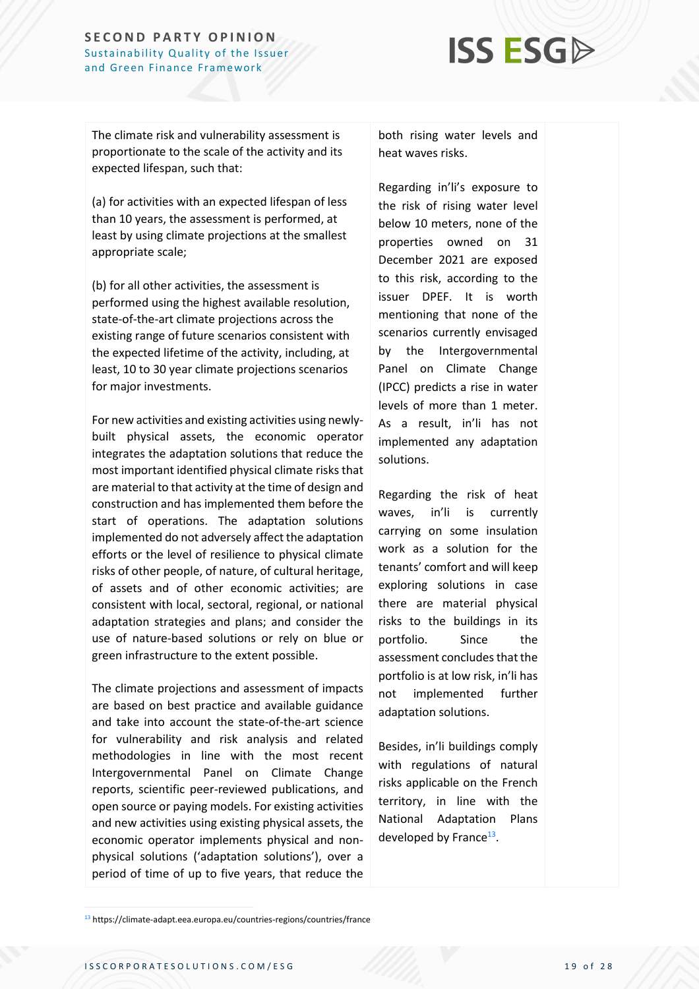## **ISS ESGD**

The climate risk and vulnerability assessment is proportionate to the scale of the activity and its expected lifespan, such that:

(a) for activities with an expected lifespan of less than 10 years, the assessment is performed, at least by using climate projections at the smallest appropriate scale;

(b) for all other activities, the assessment is performed using the highest available resolution, state-of-the-art climate projections across the existing range of future scenarios consistent with the expected lifetime of the activity, including, at least, 10 to 30 year climate projections scenarios for major investments.

For new activities and existing activities using newlybuilt physical assets, the economic operator integrates the adaptation solutions that reduce the most important identified physical climate risks that are material to that activity at the time of design and construction and has implemented them before the start of operations. The adaptation solutions implemented do not adversely affect the adaptation efforts or the level of resilience to physical climate risks of other people, of nature, of cultural heritage, of assets and of other economic activities; are consistent with local, sectoral, regional, or national adaptation strategies and plans; and consider the use of nature-based solutions or rely on blue or green infrastructure to the extent possible.

The climate projections and assessment of impacts are based on best practice and available guidance and take into account the state-of-the-art science for vulnerability and risk analysis and related methodologies in line with the most recent Intergovernmental Panel on Climate Change reports, scientific peer-reviewed publications, and open source or paying models. For existing activities and new activities using existing physical assets, the economic operator implements physical and nonphysical solutions ('adaptation solutions'), over a period of time of up to five years, that reduce the

both rising water levels and heat waves risks.

Regarding in'li's exposure to the risk of rising water level below 10 meters, none of the properties owned on 31 December 2021 are exposed to this risk, according to the issuer DPEF. It is worth mentioning that none of the scenarios currently envisaged by the Intergovernmental Panel on Climate Change (IPCC) predicts a rise in water levels of more than 1 meter. As a result, in'li has not implemented any adaptation solutions.

Regarding the risk of heat waves, in'li is currently carrying on some insulation work as a solution for the tenants' comfort and will keep exploring solutions in case there are material physical risks to the buildings in its portfolio. Since the assessment concludes that the portfolio is at low risk, in'li has not implemented further adaptation solutions.

Besides, in'li buildings comply with regulations of natural risks applicable on the French territory, in line with the National Adaptation Plans developed by France<sup>13</sup>.

<sup>13</sup> https://climate-adapt.eea.europa.eu/countries-regions/countries/france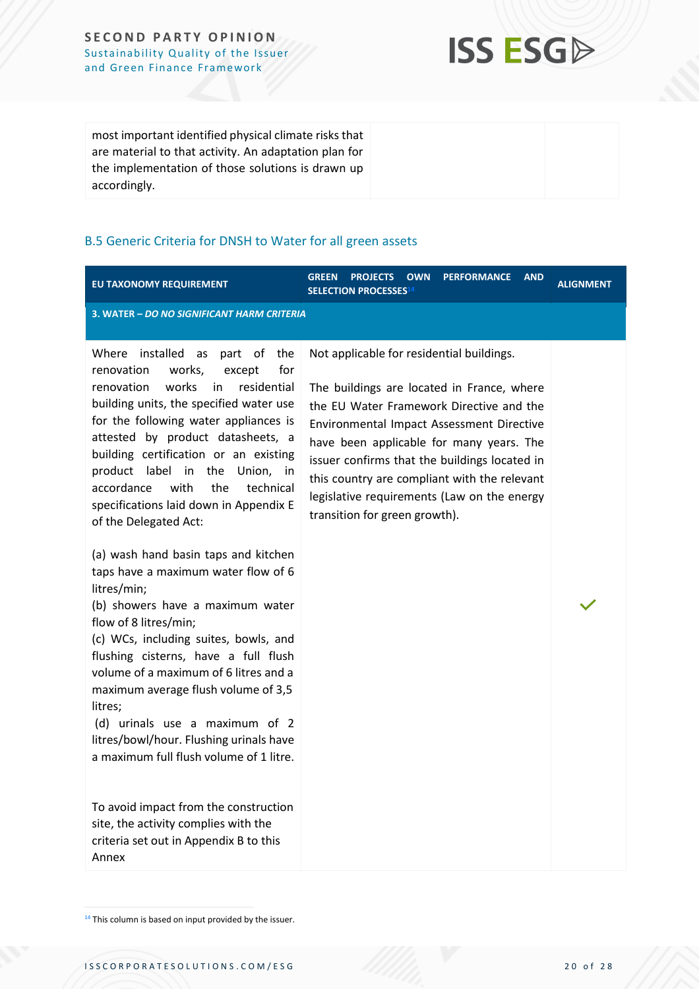**ISS ESGA** 

most important identified physical climate risks that are material to that activity. An adaptation plan for the implementation of those solutions is drawn up accordingly.

### B.5 Generic Criteria for DNSH to Water for all green assets

| EU TAXONOMY REQUIREMENT                                                                                                                                                                                                                                                                                                                                                                                                                                                                                                                                                                                                                                                                                                                                                                                                                                                                                                                                                                                                                                | <b>GREEN</b><br><b>OWN</b><br><b>PERFORMANCE</b><br><b>AND</b><br><b>PROJECTS</b><br>SELECTION PROCESSES <sup>14</sup>                                                                                                                                                                                                                                                                                               | <b>ALIGNMENT</b> |  |  |  |
|--------------------------------------------------------------------------------------------------------------------------------------------------------------------------------------------------------------------------------------------------------------------------------------------------------------------------------------------------------------------------------------------------------------------------------------------------------------------------------------------------------------------------------------------------------------------------------------------------------------------------------------------------------------------------------------------------------------------------------------------------------------------------------------------------------------------------------------------------------------------------------------------------------------------------------------------------------------------------------------------------------------------------------------------------------|----------------------------------------------------------------------------------------------------------------------------------------------------------------------------------------------------------------------------------------------------------------------------------------------------------------------------------------------------------------------------------------------------------------------|------------------|--|--|--|
| 3. WATER - DO NO SIGNIFICANT HARM CRITERIA                                                                                                                                                                                                                                                                                                                                                                                                                                                                                                                                                                                                                                                                                                                                                                                                                                                                                                                                                                                                             |                                                                                                                                                                                                                                                                                                                                                                                                                      |                  |  |  |  |
| installed<br>Where<br>part of the<br>as<br>for<br>renovation<br>works,<br>except<br>works<br>in<br>residential<br>renovation<br>building units, the specified water use<br>for the following water appliances is<br>attested by product datasheets, a<br>building certification or an existing<br>product label in<br>the<br>Union, in<br>accordance<br>with<br>the<br>technical<br>specifications laid down in Appendix E<br>of the Delegated Act:<br>(a) wash hand basin taps and kitchen<br>taps have a maximum water flow of 6<br>litres/min;<br>(b) showers have a maximum water<br>flow of 8 litres/min;<br>(c) WCs, including suites, bowls, and<br>flushing cisterns, have a full flush<br>volume of a maximum of 6 litres and a<br>maximum average flush volume of 3,5<br>litres;<br>(d) urinals use a maximum of 2<br>litres/bowl/hour. Flushing urinals have<br>a maximum full flush volume of 1 litre.<br>To avoid impact from the construction<br>site, the activity complies with the<br>criteria set out in Appendix B to this<br>Annex | Not applicable for residential buildings.<br>The buildings are located in France, where<br>the EU Water Framework Directive and the<br><b>Environmental Impact Assessment Directive</b><br>have been applicable for many years. The<br>issuer confirms that the buildings located in<br>this country are compliant with the relevant<br>legislative requirements (Law on the energy<br>transition for green growth). |                  |  |  |  |

 $14$  This column is based on input provided by the issuer.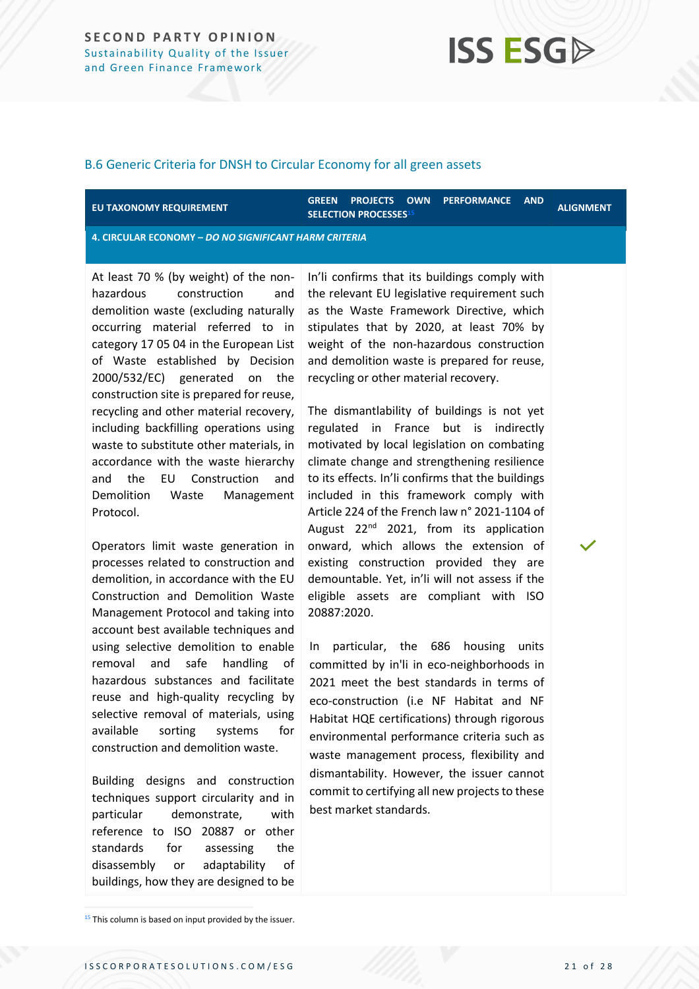#### B.6 Generic Criteria for DNSH to Circular Economy for all green assets

#### **EU TAXONOMY REQUIREMENT**

**GREEN PROJECTS OWN PERFORMANCE AND**  SELECTION PROCESSES<sup>15</sup>

**4. CIRCULAR ECONOMY –** *DO NO SIGNIFICANT HARM CRITERIA*

At least 70 % (by weight) of the nonhazardous construction and demolition waste (excluding naturally occurring material referred to in category 17 05 04 in the European List of Waste established by Decision 2000/532/EC) generated on the construction site is prepared for reuse, recycling and other material recovery, including backfilling operations using waste to substitute other materials, in accordance with the waste hierarchy and the EU Construction and Demolition Waste Management Protocol.

Operators limit waste generation in processes related to construction and demolition, in accordance with the EU Construction and Demolition Waste Management Protocol and taking into account best available techniques and using selective demolition to enable removal and safe handling of hazardous substances and facilitate reuse and high-quality recycling by selective removal of materials, using available sorting systems for construction and demolition waste.

Building designs and construction techniques support circularity and in particular demonstrate, with reference to ISO 20887 or other standards for assessing the disassembly or adaptability of buildings, how they are designed to be

In'li confirms that its buildings comply with the relevant EU legislative requirement such as the Waste Framework Directive, which stipulates that by 2020, at least 70% by weight of the non-hazardous construction and demolition waste is prepared for reuse, recycling or other material recovery.

The dismantlability of buildings is not yet regulated in France but is indirectly motivated by local legislation on combating climate change and strengthening resilience to its effects. In'li confirms that the buildings included in this framework comply with Article 224 of the French law n° 2021-1104 of August 22<sup>nd</sup> 2021, from its application onward, which allows the extension of existing construction provided they are demountable. Yet, in'li will not assess if the eligible assets are compliant with ISO 20887:2020.

In particular, the 686 housing units committed by in'li in eco-neighborhoods in 2021 meet the best standards in terms of eco-construction (i.e NF Habitat and NF Habitat HQE certifications) through rigorous environmental performance criteria such as waste management process, flexibility and dismantability. However, the issuer cannot commit to certifying all new projects to these best market standards.

<sup>&</sup>lt;sup>15</sup> This column is based on input provided by the issuer.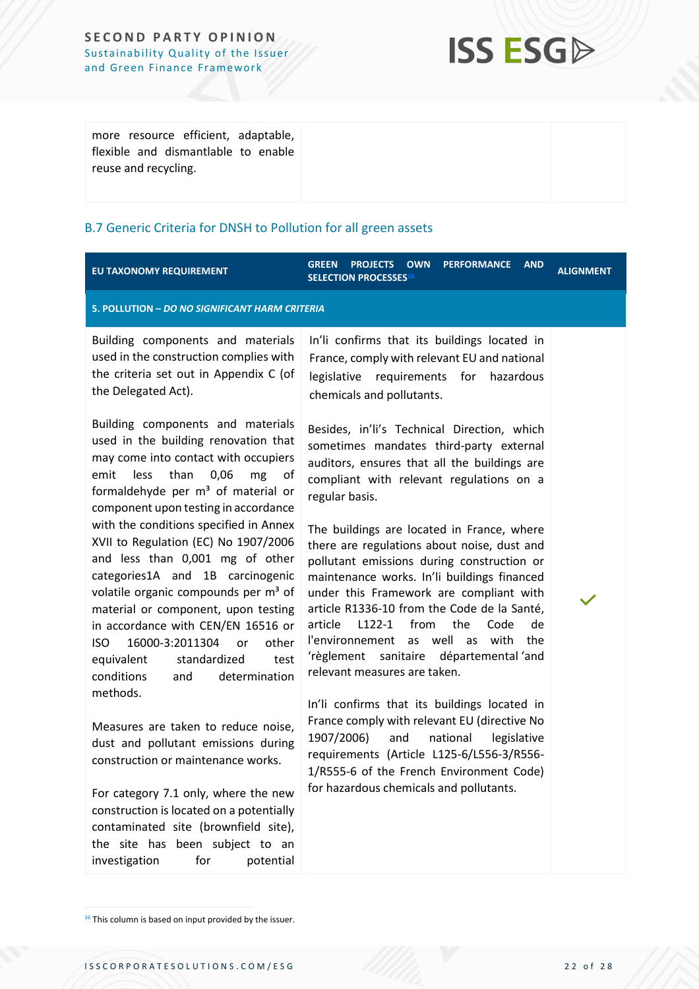## **ISS ESG**

| more resource efficient, adaptable,<br>flexible and dismantlable to enable |  |
|----------------------------------------------------------------------------|--|
| reuse and recycling.                                                       |  |
|                                                                            |  |

### B.7 Generic Criteria for DNSH to Pollution for all green assets

| EU TAXONOMY REQUIREMENT                                                                                                                                                                                                                                                                                                                                                                                                        | <b>GREEN</b><br><b>PROJECTS</b><br><b>OWN</b><br><b>PERFORMANCE</b><br><b>AND</b><br><b>SELECTION PROCESSES16</b>                                                                                                                                                                                                                                                                                                                                                   | <b>ALIGNMENT</b> |  |  |
|--------------------------------------------------------------------------------------------------------------------------------------------------------------------------------------------------------------------------------------------------------------------------------------------------------------------------------------------------------------------------------------------------------------------------------|---------------------------------------------------------------------------------------------------------------------------------------------------------------------------------------------------------------------------------------------------------------------------------------------------------------------------------------------------------------------------------------------------------------------------------------------------------------------|------------------|--|--|
| 5. POLLUTION - DO NO SIGNIFICANT HARM CRITERIA                                                                                                                                                                                                                                                                                                                                                                                 |                                                                                                                                                                                                                                                                                                                                                                                                                                                                     |                  |  |  |
| Building components and materials<br>used in the construction complies with<br>the criteria set out in Appendix C (of<br>the Delegated Act).                                                                                                                                                                                                                                                                                   | In'li confirms that its buildings located in<br>France, comply with relevant EU and national<br>legislative requirements for hazardous<br>chemicals and pollutants.                                                                                                                                                                                                                                                                                                 |                  |  |  |
| Building components and materials<br>used in the building renovation that<br>may come into contact with occupiers<br>than<br>emit<br>0,06<br>less<br>mg<br>of<br>formaldehyde per m <sup>3</sup> of material or<br>component upon testing in accordance                                                                                                                                                                        | Besides, in'li's Technical Direction, which<br>sometimes mandates third-party external<br>auditors, ensures that all the buildings are<br>compliant with relevant regulations on a<br>regular basis.                                                                                                                                                                                                                                                                |                  |  |  |
| with the conditions specified in Annex<br>XVII to Regulation (EC) No 1907/2006<br>and less than 0,001 mg of other<br>categories1A and 1B carcinogenic<br>volatile organic compounds per m <sup>3</sup> of<br>material or component, upon testing<br>in accordance with CEN/EN 16516 or<br>16000-3:2011304<br><b>ISO</b><br>other<br>or<br>standardized<br>equivalent<br>test<br>conditions<br>determination<br>and<br>methods. | The buildings are located in France, where<br>there are regulations about noise, dust and<br>pollutant emissions during construction or<br>maintenance works. In'li buildings financed<br>under this Framework are compliant with<br>article R1336-10 from the Code de la Santé,<br>L122-1<br>from<br>the<br>article<br>Code<br>de<br>as well<br>with<br>l'environnement<br>as<br>the<br>ʻrèglement<br>sanitaire départemental 'and<br>relevant measures are taken. |                  |  |  |
| Measures are taken to reduce noise,<br>dust and pollutant emissions during<br>construction or maintenance works.<br>For category 7.1 only, where the new<br>construction is located on a potentially<br>contaminated site (brownfield site),<br>the site has been subject to an<br>for<br>investigation<br>potential                                                                                                           | In'li confirms that its buildings located in<br>France comply with relevant EU (directive No<br>1907/2006)<br>and<br>national<br>legislative<br>requirements (Article L125-6/L556-3/R556-<br>1/R555-6 of the French Environment Code)<br>for hazardous chemicals and pollutants.                                                                                                                                                                                    |                  |  |  |

<sup>16</sup> This column is based on input provided by the issuer.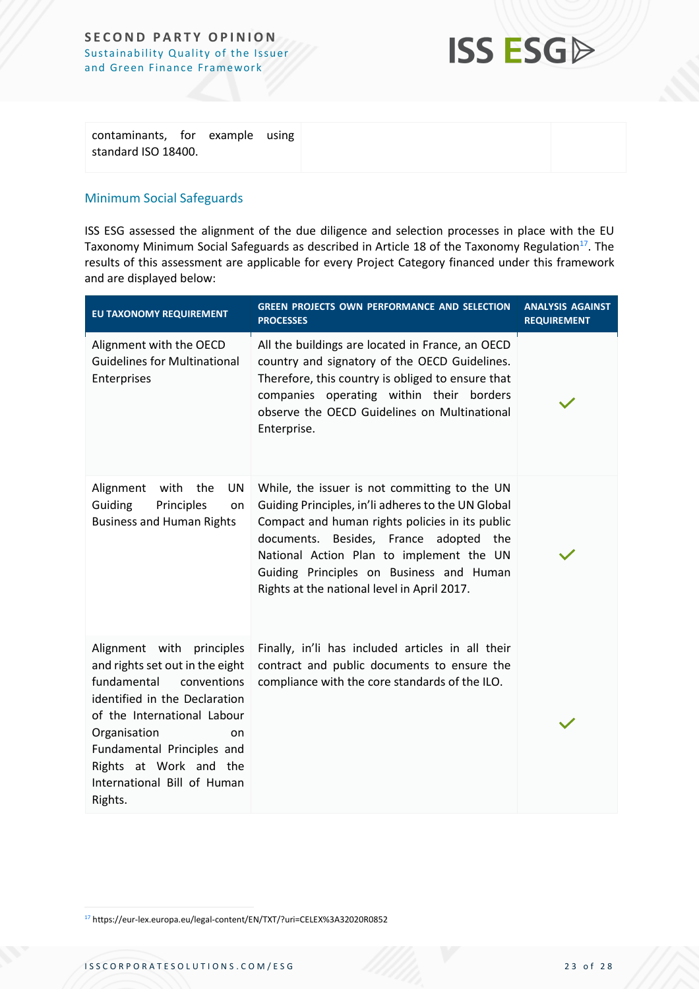

| contaminants, for example using |  |  |
|---------------------------------|--|--|
| standard ISO 18400.             |  |  |
|                                 |  |  |

### Minimum Social Safeguards

ISS ESG assessed the alignment of the due diligence and selection processes in place with the EU Taxonomy Minimum Social Safeguards as described in Article 18 of the Taxonomy Regulation<sup>17</sup>. The results of this assessment are applicable for every Project Category financed under this framework and are displayed below:

| EU TAXONOMY REQUIREMENT                                                                                                                                                                                                                                                            | <b>GREEN PROJECTS OWN PERFORMANCE AND SELECTION</b><br><b>PROCESSES</b>                                                                                                                                                                                                                                                                 | <b>ANALYSIS AGAINST</b><br><b>REQUIREMENT</b> |
|------------------------------------------------------------------------------------------------------------------------------------------------------------------------------------------------------------------------------------------------------------------------------------|-----------------------------------------------------------------------------------------------------------------------------------------------------------------------------------------------------------------------------------------------------------------------------------------------------------------------------------------|-----------------------------------------------|
| Alignment with the OECD<br><b>Guidelines for Multinational</b><br>Enterprises                                                                                                                                                                                                      | All the buildings are located in France, an OECD<br>country and signatory of the OECD Guidelines.<br>Therefore, this country is obliged to ensure that<br>companies operating within their borders<br>observe the OECD Guidelines on Multinational<br>Enterprise.                                                                       |                                               |
| Alignment<br>with<br>UN<br>the<br>Guiding<br>Principles<br>on<br><b>Business and Human Rights</b>                                                                                                                                                                                  | While, the issuer is not committing to the UN<br>Guiding Principles, in'li adheres to the UN Global<br>Compact and human rights policies in its public<br>documents. Besides, France adopted the<br>National Action Plan to implement the UN<br>Guiding Principles on Business and Human<br>Rights at the national level in April 2017. |                                               |
| Alignment with principles<br>and rights set out in the eight<br>fundamental<br>conventions<br>identified in the Declaration<br>of the International Labour<br>Organisation<br>on<br>Fundamental Principles and<br>Rights at Work and the<br>International Bill of Human<br>Rights. | Finally, in'li has included articles in all their<br>contract and public documents to ensure the<br>compliance with the core standards of the ILO.                                                                                                                                                                                      |                                               |

<sup>17</sup> https://eur-lex.europa.eu/legal-content/EN/TXT/?uri=CELEX%3A32020R0852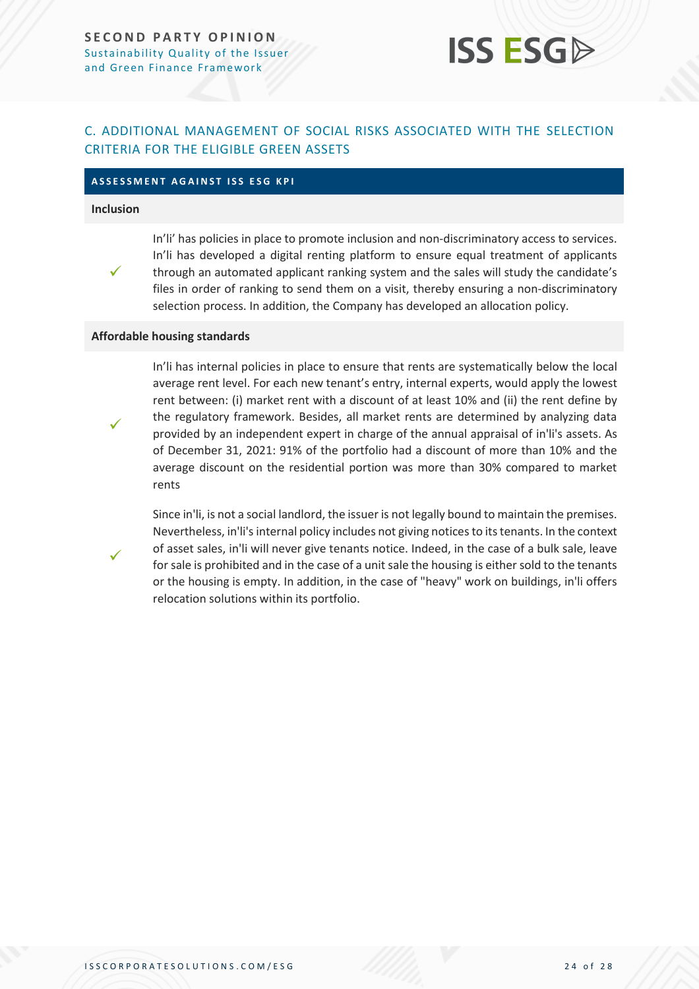### <span id="page-23-0"></span>C. ADDITIONAL MANAGEMENT OF SOCIAL RISKS ASSOCIATED WITH THE SELECTION CRITERIA FOR THE ELIGIBLE GREEN ASSETS

### **A S S E S S M E N T A G A I N S T I S S E S G K P I**

#### **Inclusion**



In'li' has policies in place to promote inclusion and non-discriminatory access to services. In'li has developed a digital renting platform to ensure equal treatment of applicants through an automated applicant ranking system and the sales will study the candidate's files in order of ranking to send them on a visit, thereby ensuring a non-discriminatory selection process. In addition, the Company has developed an allocation policy.

#### **Affordable housing standards**



✓

In'li has internal policies in place to ensure that rents are systematically below the local average rent level. For each new tenant's entry, internal experts, would apply the lowest rent between: (i) market rent with a discount of at least 10% and (ii) the rent define by the regulatory framework. Besides, all market rents are determined by analyzing data provided by an independent expert in charge of the annual appraisal of in'li's assets. As of December 31, 2021: 91% of the portfolio had a discount of more than 10% and the average discount on the residential portion was more than 30% compared to market rents

Since in'li, is not a social landlord, the issuer is not legally bound to maintain the premises. Nevertheless, in'li's internal policy includes not giving notices to its tenants. In the context of asset sales, in'li will never give tenants notice. Indeed, in the case of a bulk sale, leave for sale is prohibited and in the case of a unit sale the housing is either sold to the tenants or the housing is empty. In addition, in the case of "heavy" work on buildings, in'li offers relocation solutions within its portfolio.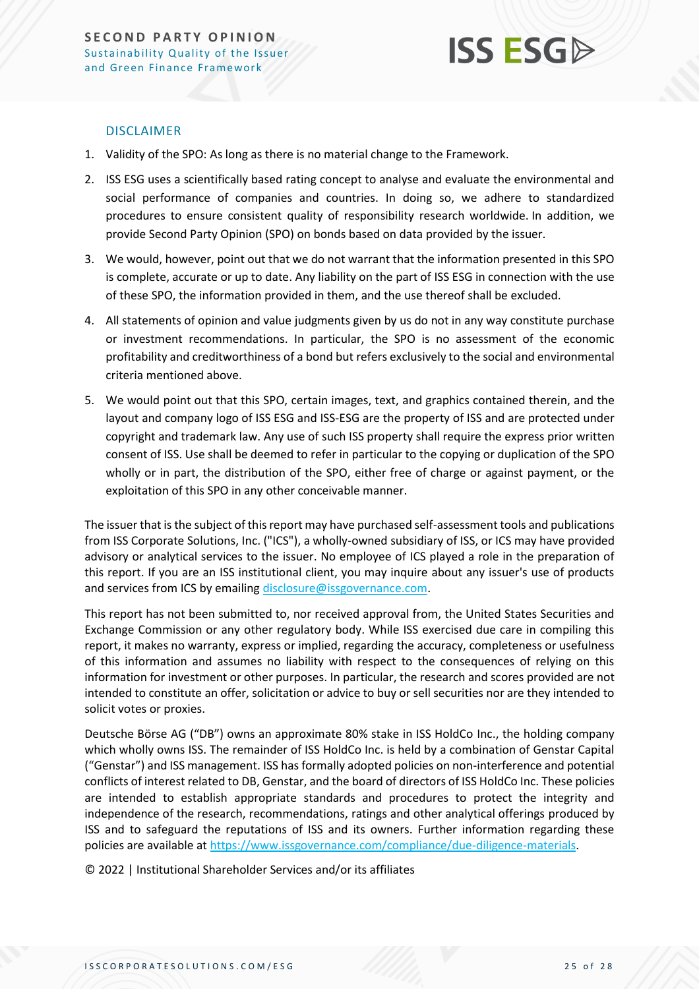

### DISCLAIMER

- 1. Validity of the SPO: As long as there is no material change to the Framework.
- 2. ISS ESG uses a scientifically based rating concept to analyse and evaluate the environmental and social performance of companies and countries. In doing so, we adhere to standardized procedures to ensure consistent quality of responsibility research worldwide. In addition, we provide Second Party Opinion (SPO) on bonds based on data provided by the issuer.
- 3. We would, however, point out that we do not warrant that the information presented in this SPO is complete, accurate or up to date. Any liability on the part of ISS ESG in connection with the use of these SPO, the information provided in them, and the use thereof shall be excluded.
- 4. All statements of opinion and value judgments given by us do not in any way constitute purchase or investment recommendations. In particular, the SPO is no assessment of the economic profitability and creditworthiness of a bond but refers exclusively to the social and environmental criteria mentioned above.
- 5. We would point out that this SPO, certain images, text, and graphics contained therein, and the layout and company logo of ISS ESG and ISS-ESG are the property of ISS and are protected under copyright and trademark law. Any use of such ISS property shall require the express prior written consent of ISS. Use shall be deemed to refer in particular to the copying or duplication of the SPO wholly or in part, the distribution of the SPO, either free of charge or against payment, or the exploitation of this SPO in any other conceivable manner.

The issuer that is the subject of this report may have purchased self-assessment tools and publications from ISS Corporate Solutions, Inc. ("ICS"), a wholly-owned subsidiary of ISS, or ICS may have provided advisory or analytical services to the issuer. No employee of ICS played a role in the preparation of this report. If you are an ISS institutional client, you may inquire about any issuer's use of products and services from ICS by emailin[g disclosure@issgovernance.com.](mailto:disclosure@issgovernance.com)

This report has not been submitted to, nor received approval from, the United States Securities and Exchange Commission or any other regulatory body. While ISS exercised due care in compiling this report, it makes no warranty, express or implied, regarding the accuracy, completeness or usefulness of this information and assumes no liability with respect to the consequences of relying on this information for investment or other purposes. In particular, the research and scores provided are not intended to constitute an offer, solicitation or advice to buy or sell securities nor are they intended to solicit votes or proxies.

Deutsche Börse AG ("DB") owns an approximate 80% stake in ISS HoldCo Inc., the holding company which wholly owns ISS. The remainder of ISS HoldCo Inc. is held by a combination of Genstar Capital ("Genstar") and ISS management. ISS has formally adopted policies on non-interference and potential conflicts of interest related to DB, Genstar, and the board of directors of ISS HoldCo Inc. These policies are intended to establish appropriate standards and procedures to protect the integrity and independence of the research, recommendations, ratings and other analytical offerings produced by ISS and to safeguard the reputations of ISS and its owners. Further information regarding these policies are available a[t https://www.issgovernance.com/compliance/due-diligence-materials.](https://www.issgovernance.com/compliance/due-diligence-materials)

© 2022 | Institutional Shareholder Services and/or its affiliates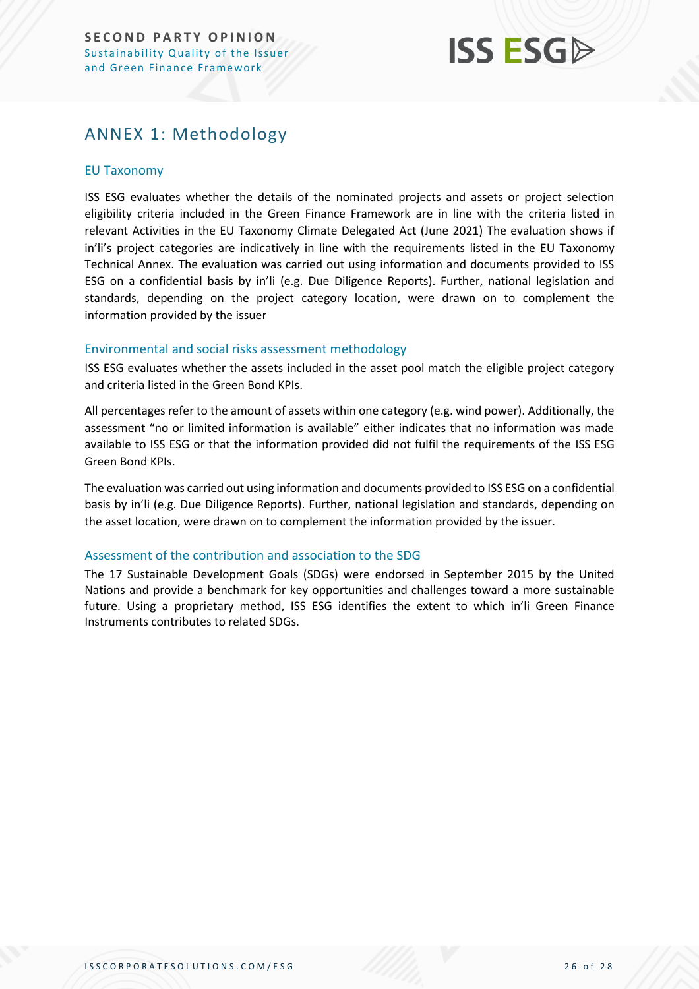### <span id="page-25-0"></span>ANNEX 1: Methodology

### EU Taxonomy

ISS ESG evaluates whether the details of the nominated projects and assets or project selection eligibility criteria included in the Green Finance Framework are in line with the criteria listed in relevant Activities in the EU Taxonomy Climate Delegated Act (June 2021) The evaluation shows if in'li's project categories are indicatively in line with the requirements listed in the EU Taxonomy Technical Annex. The evaluation was carried out using information and documents provided to ISS ESG on a confidential basis by in'li (e.g. Due Diligence Reports). Further, national legislation and standards, depending on the project category location, were drawn on to complement the information provided by the issuer

### Environmental and social risks assessment methodology

ISS ESG evaluates whether the assets included in the asset pool match the eligible project category and criteria listed in the Green Bond KPIs.

All percentages refer to the amount of assets within one category (e.g. wind power). Additionally, the assessment "no or limited information is available" either indicates that no information was made available to ISS ESG or that the information provided did not fulfil the requirements of the ISS ESG Green Bond KPIs.

The evaluation was carried out using information and documents provided to ISS ESG on a confidential basis by in'li (e.g. Due Diligence Reports). Further, national legislation and standards, depending on the asset location, were drawn on to complement the information provided by the issuer.

### Assessment of the contribution and association to the SDG

The 17 Sustainable Development Goals (SDGs) were endorsed in September 2015 by the United Nations and provide a benchmark for key opportunities and challenges toward a more sustainable future. Using a proprietary method, ISS ESG identifies the extent to which in'li Green Finance Instruments contributes to related SDGs.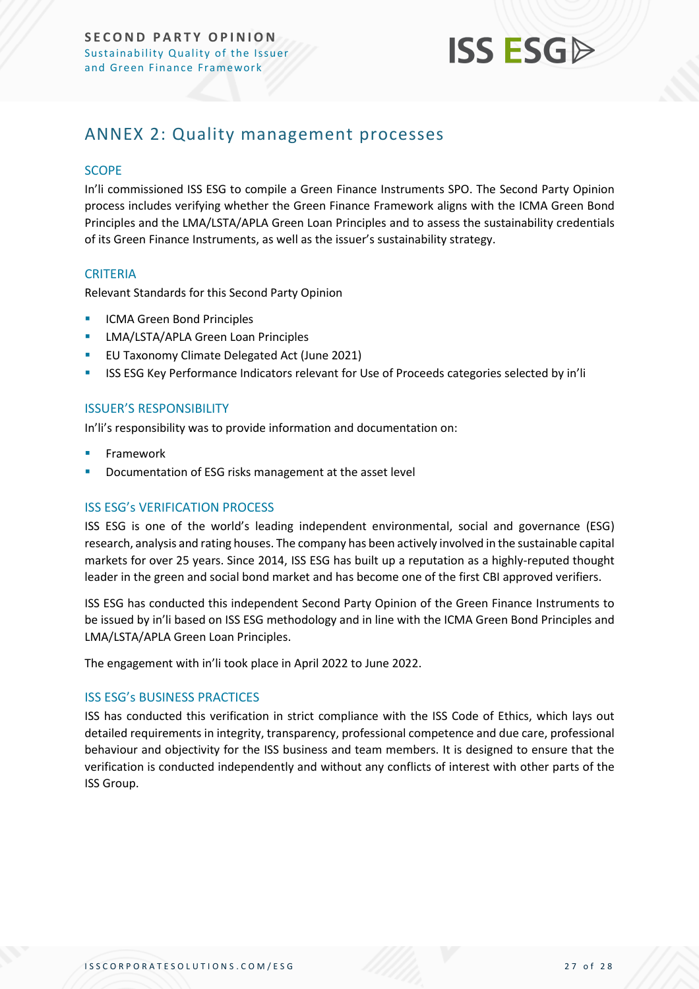

### <span id="page-26-0"></span>ANNEX 2: Quality management processes

### **SCOPE**

In'li commissioned ISS ESG to compile a Green Finance Instruments SPO. The Second Party Opinion process includes verifying whether the Green Finance Framework aligns with the ICMA Green Bond Principles and the LMA/LSTA/APLA Green Loan Principles and to assess the sustainability credentials of its Green Finance Instruments, as well as the issuer's sustainability strategy.

### **CRITERIA**

Relevant Standards for this Second Party Opinion

- **ICMA Green Bond Principles**
- **E** LMA/LSTA/APLA Green Loan Principles
- EU Taxonomy Climate Delegated Act (June 2021)
- ISS ESG Key Performance Indicators relevant for Use of Proceeds categories selected by in'li

### ISSUER'S RESPONSIBILITY

In'li's responsibility was to provide information and documentation on:

- **Framework**
- Documentation of ESG risks management at the asset level

### ISS ESG's VERIFICATION PROCESS

ISS ESG is one of the world's leading independent environmental, social and governance (ESG) research, analysis and rating houses. The company has been actively involved in the sustainable capital markets for over 25 years. Since 2014, ISS ESG has built up a reputation as a highly-reputed thought leader in the green and social bond market and has become one of the first CBI approved verifiers.

ISS ESG has conducted this independent Second Party Opinion of the Green Finance Instruments to be issued by in'li based on ISS ESG methodology and in line with the ICMA Green Bond Principles and LMA/LSTA/APLA Green Loan Principles.

The engagement with in'li took place in April 2022 to June 2022.

### ISS ESG's BUSINESS PRACTICES

ISS has conducted this verification in strict compliance with the ISS Code of Ethics, which lays out detailed requirements in integrity, transparency, professional competence and due care, professional behaviour and objectivity for the ISS business and team members. It is designed to ensure that the verification is conducted independently and without any conflicts of interest with other parts of the ISS Group.